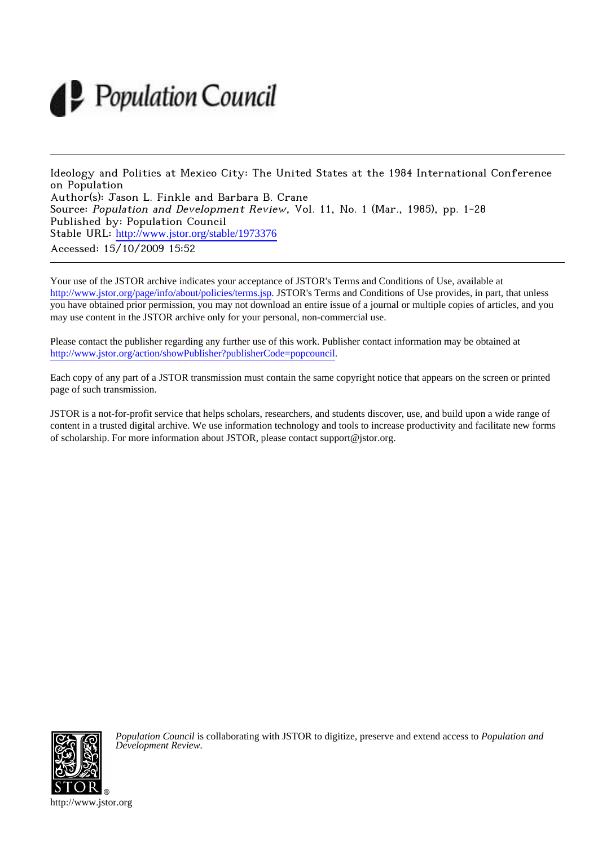# Population Council

Ideology and Politics at Mexico City: The United States at the 1984 International Conference on Population Author(s): Jason L. Finkle and Barbara B. Crane Source: Population and Development Review, Vol. 11, No. 1 (Mar., 1985), pp. 1-28 Published by: Population Council Stable URL: [http://www.jstor.org/stable/1973376](http://www.jstor.org/stable/1973376?origin=JSTOR-pdf) Accessed: 15/10/2009 15:52

Your use of the JSTOR archive indicates your acceptance of JSTOR's Terms and Conditions of Use, available at <http://www.jstor.org/page/info/about/policies/terms.jsp>. JSTOR's Terms and Conditions of Use provides, in part, that unless you have obtained prior permission, you may not download an entire issue of a journal or multiple copies of articles, and you may use content in the JSTOR archive only for your personal, non-commercial use.

Please contact the publisher regarding any further use of this work. Publisher contact information may be obtained at <http://www.jstor.org/action/showPublisher?publisherCode=popcouncil>.

Each copy of any part of a JSTOR transmission must contain the same copyright notice that appears on the screen or printed page of such transmission.

JSTOR is a not-for-profit service that helps scholars, researchers, and students discover, use, and build upon a wide range of content in a trusted digital archive. We use information technology and tools to increase productivity and facilitate new forms of scholarship. For more information about JSTOR, please contact support@jstor.org.



*Population Council* is collaborating with JSTOR to digitize, preserve and extend access to *Population and Development Review.*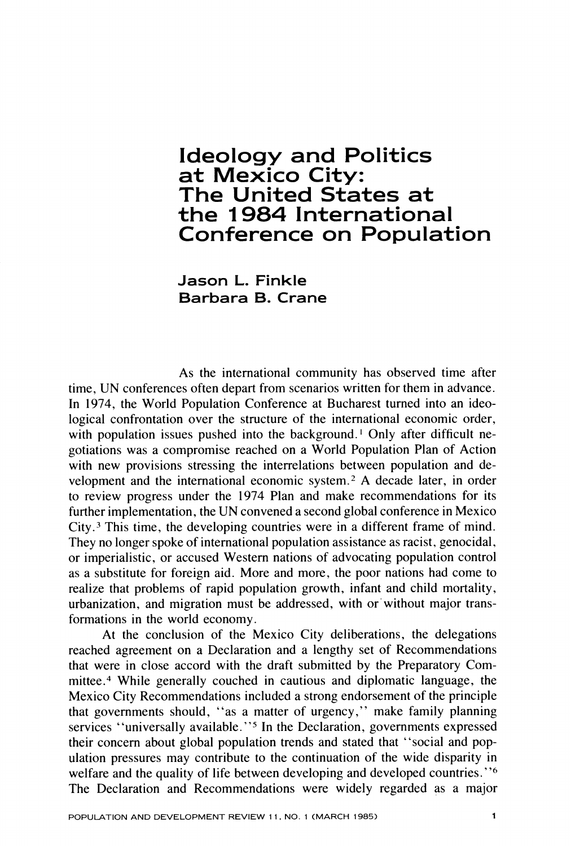# **Ideology and Politics** at Mexico City: The United States at the 1984 International **Conference on Population**

Jason L. Finkle Barbara B. Crane

As the international community has observed time after time, UN conferences often depart from scenarios written for them in advance. In 1974, the World Population Conference at Bucharest turned into an ideological confrontation over the structure of the international economic order, with population issues pushed into the background.<sup>1</sup> Only after difficult negotiations was a compromise reached on a World Population Plan of Action with new provisions stressing the interrelations between population and development and the international economic system.<sup>2</sup> A decade later, in order to review progress under the 1974 Plan and make recommendations for its further implementation, the UN convened a second global conference in Mexico City.<sup>3</sup> This time, the developing countries were in a different frame of mind. They no longer spoke of international population assistance as racist, genocidal, or imperialistic, or accused Western nations of advocating population control as a substitute for foreign aid. More and more, the poor nations had come to realize that problems of rapid population growth, infant and child mortality, urbanization, and migration must be addressed, with or without major transformations in the world economy.

At the conclusion of the Mexico City deliberations, the delegations reached agreement on a Declaration and a lengthy set of Recommendations that were in close accord with the draft submitted by the Preparatory Committee.<sup>4</sup> While generally couched in cautious and diplomatic language, the Mexico City Recommendations included a strong endorsement of the principle that governments should, "as a matter of urgency," make family planning services "universally available."<sup>5</sup> In the Declaration, governments expressed their concern about global population trends and stated that "social and population pressures may contribute to the continuation of the wide disparity in welfare and the quality of life between developing and developed countries."<sup>6</sup> The Declaration and Recommendations were widely regarded as a major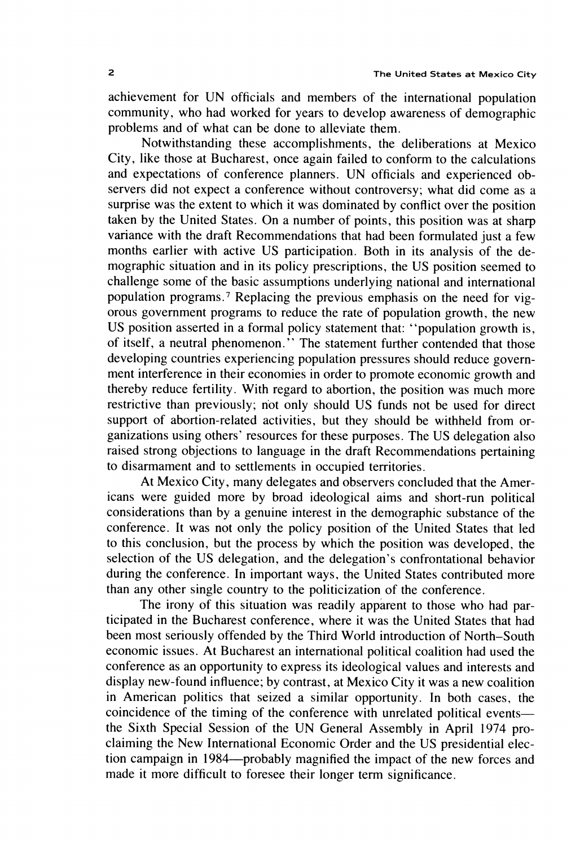achievement for UN officials and members of the international population community, who had worked for years to develop awareness of demographic problems and of what can be done to alleviate them.

Notwithstanding these accomplishments, the deliberations at Mexico City, like those at Bucharest, once again failed to conform to the calculations and expectations of conference planners. UN officials and experienced observers did not expect a conference without controversy; what did come as a surprise was the extent to which it was dominated by conflict over the position taken by the United States. On a number of points, this position was at sharp variance with the draft Recommendations that had been formulated just a few months earlier with active US participation. Both in its analysis of the demographic situation and in its policy prescriptions, the US position seemed to challenge some of the basic assumptions underlying national and international population programs.<sup>7</sup> Replacing the previous emphasis on the need for vigorous government programs to reduce the rate of population growth, the new US position asserted in a formal policy statement that: "population growth is, of itself, a neutral phenomenon." The statement further contended that those developing countries experiencing population pressures should reduce government interference in their economies in order to promote economic growth and thereby reduce fertility. With regard to abortion, the position was much more restrictive than previously; not only should US funds not be used for direct support of abortion-related activities, but they should be withheld from organizations using others' resources for these purposes. The US delegation also raised strong objections to language in the draft Recommendations pertaining to disarmament and to settlements in occupied territories.

At Mexico City, many delegates and observers concluded that the Americans were guided more by broad ideological aims and short-run political considerations than by a genuine interest in the demographic substance of the conference. It was not only the policy position of the United States that led to this conclusion, but the process by which the position was developed, the selection of the US delegation, and the delegation's confrontational behavior during the conference. In important ways, the United States contributed more than any other single country to the politicization of the conference.

The irony of this situation was readily apparent to those who had participated in the Bucharest conference, where it was the United States that had been most seriously offended by the Third World introduction of North-South economic issues. At Bucharest an international political coalition had used the conference as an opportunity to express its ideological values and interests and display new-found influence; by contrast, at Mexico City it was a new coalition in American politics that seized a similar opportunity. In both cases, the coincidence of the timing of the conference with unrelated political eventsthe Sixth Special Session of the UN General Assembly in April 1974 proclaiming the New International Economic Order and the US presidential election campaign in 1984—probably magnified the impact of the new forces and made it more difficult to foresee their longer term significance.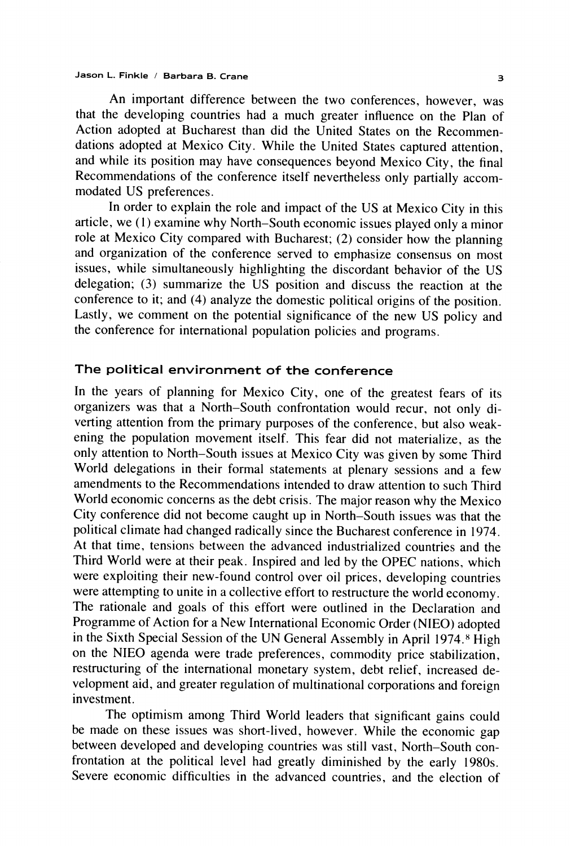An important difference between the two conferences, however, was that the developing countries had a much greater influence on the Plan of Action adopted at Bucharest than did the United States on the Recommendations adopted at Mexico City. While the United States captured attention, and while its position may have consequences beyond Mexico City, the final Recommendations of the conference itself nevertheless only partially accommodated US preferences.

In order to explain the role and impact of the US at Mexico City in this article, we (1) examine why North-South economic issues played only a minor role at Mexico City compared with Bucharest; (2) consider how the planning and organization of the conference served to emphasize consensus on most issues, while simultaneously highlighting the discordant behavior of the US delegation; (3) summarize the US position and discuss the reaction at the conference to it; and (4) analyze the domestic political origins of the position. Lastly, we comment on the potential significance of the new US policy and the conference for international population policies and programs.

# The political environment of the conference

In the years of planning for Mexico City, one of the greatest fears of its organizers was that a North–South confrontation would recur, not only diverting attention from the primary purposes of the conference, but also weakening the population movement itself. This fear did not materialize, as the only attention to North-South issues at Mexico City was given by some Third World delegations in their formal statements at plenary sessions and a few amendments to the Recommendations intended to draw attention to such Third World economic concerns as the debt crisis. The major reason why the Mexico City conference did not become caught up in North–South issues was that the political climate had changed radically since the Bucharest conference in 1974. At that time, tensions between the advanced industrialized countries and the Third World were at their peak. Inspired and led by the OPEC nations, which were exploiting their new-found control over oil prices, developing countries were attempting to unite in a collective effort to restructure the world economy. The rationale and goals of this effort were outlined in the Declaration and Programme of Action for a New International Economic Order (NIEO) adopted in the Sixth Special Session of the UN General Assembly in April 1974.<sup>8</sup> High on the NIEO agenda were trade preferences, commodity price stabilization. restructuring of the international monetary system, debt relief, increased development aid, and greater regulation of multinational corporations and foreign investment.

The optimism among Third World leaders that significant gains could be made on these issues was short-lived, however. While the economic gap between developed and developing countries was still vast, North-South confrontation at the political level had greatly diminished by the early 1980s. Severe economic difficulties in the advanced countries, and the election of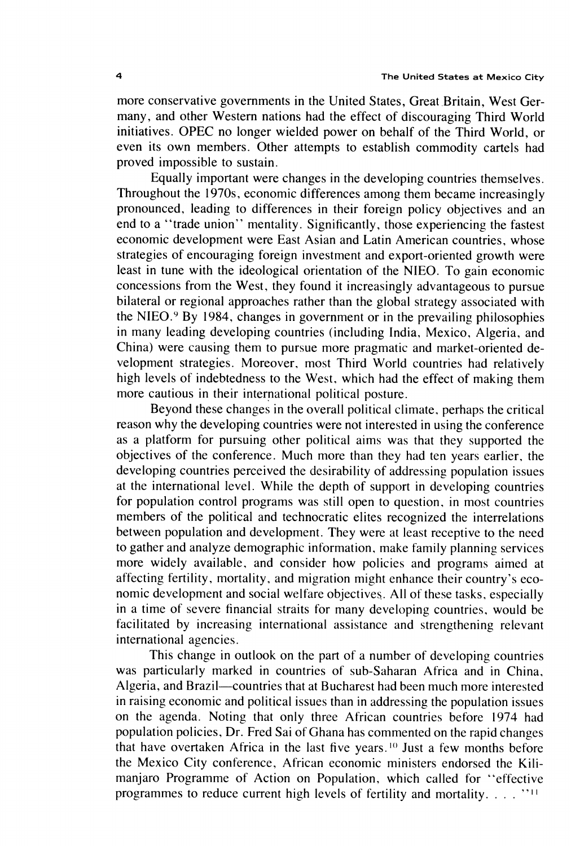more conservative governments in the United States, Great Britain, West Germany, and other Western nations had the effect of discouraging Third World initiatives. OPEC no longer wielded power on behalf of the Third World, or even its own members. Other attempts to establish commodity cartels had proved impossible to sustain.

Equally important were changes in the developing countries themselves. Throughout the 1970s, economic differences among them became increasingly pronounced, leading to differences in their foreign policy objectives and an end to a "trade union" mentality. Significantly, those experiencing the fastest economic development were East Asian and Latin American countries, whose strategies of encouraging foreign investment and export-oriented growth were least in tune with the ideological orientation of the NIEO. To gain economic concessions from the West, they found it increasingly advantageous to pursue bilateral or regional approaches rather than the global strategy associated with the NIEO.<sup>9</sup> By 1984, changes in government or in the prevailing philosophies in many leading developing countries (including India, Mexico, Algeria, and China) were causing them to pursue more pragmatic and market-oriented development strategies. Moreover, most Third World countries had relatively high levels of indebtedness to the West, which had the effect of making them more cautious in their international political posture.

Beyond these changes in the overall political climate, perhaps the critical reason why the developing countries were not interested in using the conference as a platform for pursuing other political aims was that they supported the objectives of the conference. Much more than they had ten years earlier, the developing countries perceived the desirability of addressing population issues at the international level. While the depth of support in developing countries for population control programs was still open to question, in most countries members of the political and technocratic elites recognized the interrelations between population and development. They were at least receptive to the need to gather and analyze demographic information, make family planning services more widely available, and consider how policies and programs aimed at affecting fertility, mortality, and migration might enhance their country's economic development and social welfare objectives. All of these tasks, especially in a time of severe financial straits for many developing countries, would be facilitated by increasing international assistance and strengthening relevant international agencies.

This change in outlook on the part of a number of developing countries was particularly marked in countries of sub-Saharan Africa and in China, Algeria, and Brazil—countries that at Bucharest had been much more interested in raising economic and political issues than in addressing the population issues on the agenda. Noting that only three African countries before 1974 had population policies, Dr. Fred Sai of Ghana has commented on the rapid changes that have overtaken Africa in the last five years.<sup>10</sup> Just a few months before the Mexico City conference, African economic ministers endorsed the Kilimanjaro Programme of Action on Population, which called for "effective programmes to reduce current high levels of fertility and mortality. . . . "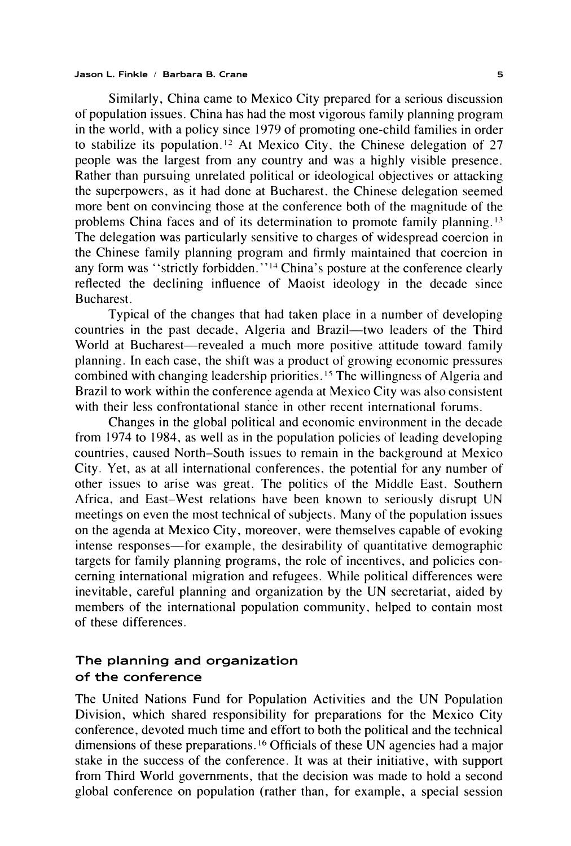Similarly, China came to Mexico City prepared for a serious discussion of population issues. China has had the most vigorous family planning program in the world, with a policy since 1979 of promoting one-child families in order to stabilize its population.<sup>12</sup> At Mexico City, the Chinese delegation of 27 people was the largest from any country and was a highly visible presence. Rather than pursuing unrelated political or ideological objectives or attacking the superpowers, as it had done at Bucharest, the Chinese delegation seemed more bent on convincing those at the conference both of the magnitude of the problems China faces and of its determination to promote family planning.<sup>13</sup> The delegation was particularly sensitive to charges of widespread coercion in the Chinese family planning program and firmly maintained that coercion in any form was "strictly forbidden."<sup>14</sup> China's posture at the conference clearly reflected the declining influence of Maoist ideology in the decade since Bucharest.

Typical of the changes that had taken place in a number of developing countries in the past decade, Algeria and Brazil—two leaders of the Third World at Bucharest-revealed a much more positive attitude toward family planning. In each case, the shift was a product of growing economic pressures combined with changing leadership priorities.<sup>15</sup> The willingness of Algeria and Brazil to work within the conference agenda at Mexico City was also consistent with their less confrontational stance in other recent international forums.

Changes in the global political and economic environment in the decade from 1974 to 1984, as well as in the population policies of leading developing countries, caused North-South issues to remain in the background at Mexico City. Yet, as at all international conferences, the potential for any number of other issues to arise was great. The politics of the Middle East, Southern Africa, and East-West relations have been known to seriously disrupt UN meetings on even the most technical of subjects. Many of the population issues on the agenda at Mexico City, moreover, were themselves capable of evoking intense responses—for example, the desirability of quantitative demographic targets for family planning programs, the role of incentives, and policies concerning international migration and refugees. While political differences were inevitable, careful planning and organization by the UN secretariat, aided by members of the international population community, helped to contain most of these differences.

# The planning and organization of the conference

The United Nations Fund for Population Activities and the UN Population Division, which shared responsibility for preparations for the Mexico City conference, devoted much time and effort to both the political and the technical dimensions of these preparations.<sup>16</sup> Officials of these UN agencies had a major stake in the success of the conference. It was at their initiative, with support from Third World governments, that the decision was made to hold a second global conference on population (rather than, for example, a special session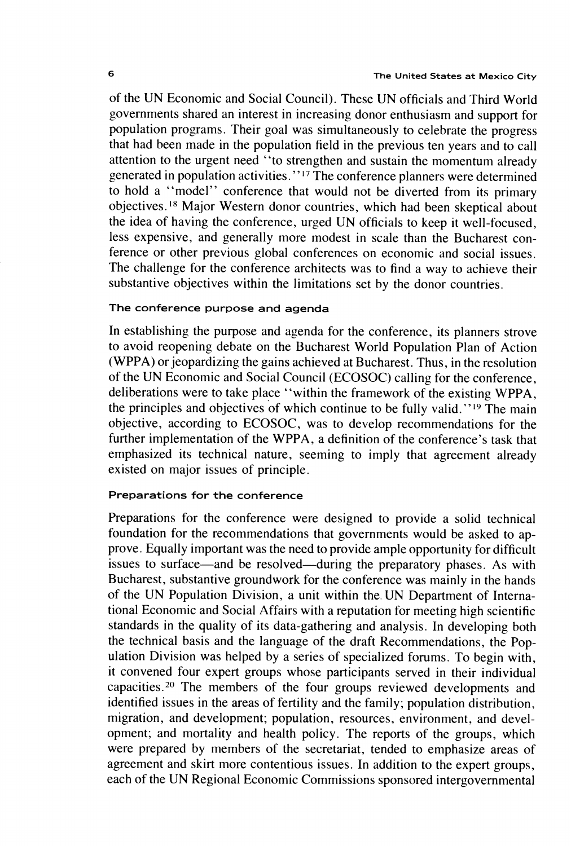of the UN Economic and Social Council). These UN officials and Third World governments shared an interest in increasing donor enthusiasm and support for population programs. Their goal was simultaneously to celebrate the progress that had been made in the population field in the previous ten years and to call attention to the urgent need "to strengthen and sustain the momentum already generated in population activities."<sup>17</sup> The conference planners were determined to hold a "model" conference that would not be diverted from its primary objectives.<sup>18</sup> Major Western donor countries, which had been skeptical about the idea of having the conference, urged UN officials to keep it well-focused, less expensive, and generally more modest in scale than the Bucharest conference or other previous global conferences on economic and social issues. The challenge for the conference architects was to find a way to achieve their substantive objectives within the limitations set by the donor countries.

# The conference purpose and agenda

In establishing the purpose and agenda for the conference, its planners strove to avoid reopening debate on the Bucharest World Population Plan of Action (WPPA) or jeopardizing the gains achieved at Bucharest. Thus, in the resolution of the UN Economic and Social Council (ECOSOC) calling for the conference, deliberations were to take place "within the framework of the existing WPPA, the principles and objectives of which continue to be fully valid."<sup>19</sup> The main objective, according to ECOSOC, was to develop recommendations for the further implementation of the WPPA, a definition of the conference's task that emphasized its technical nature, seeming to imply that agreement already existed on major issues of principle.

# Preparations for the conference

Preparations for the conference were designed to provide a solid technical foundation for the recommendations that governments would be asked to approve. Equally important was the need to provide ample opportunity for difficult issues to surface—and be resolved—during the preparatory phases. As with Bucharest, substantive groundwork for the conference was mainly in the hands of the UN Population Division, a unit within the UN Department of International Economic and Social Affairs with a reputation for meeting high scientific standards in the quality of its data-gathering and analysis. In developing both the technical basis and the language of the draft Recommendations, the Population Division was helped by a series of specialized forums. To begin with, it convened four expert groups whose participants served in their individual capacities.<sup>20</sup> The members of the four groups reviewed developments and identified issues in the areas of fertility and the family; population distribution, migration, and development; population, resources, environment, and development; and mortality and health policy. The reports of the groups, which were prepared by members of the secretariat, tended to emphasize areas of agreement and skirt more contentious issues. In addition to the expert groups, each of the UN Regional Economic Commissions sponsored intergovernmental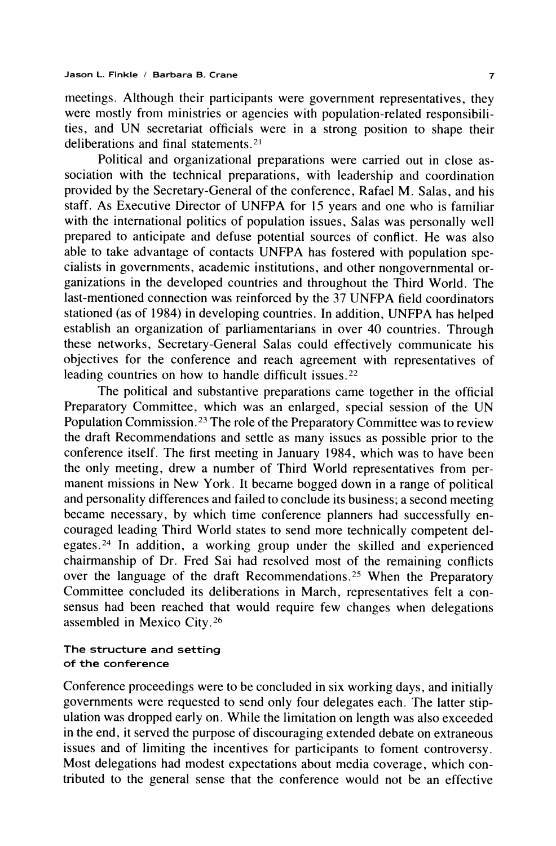meetings. Although their participants were government representatives, they were mostly from ministries or agencies with population-related responsibilities, and UN secretariat officials were in a strong position to shape their deliberations and final statements.<sup>21</sup>

Political and organizational preparations were carried out in close association with the technical preparations, with leadership and coordination provided by the Secretary-General of the conference, Rafael M. Salas, and his staff. As Executive Director of UNFPA for 15 years and one who is familiar with the international politics of population issues, Salas was personally well prepared to anticipate and defuse potential sources of conflict. He was also able to take advantage of contacts UNFPA has fostered with population specialists in governments, academic institutions, and other nongovernmental organizations in the developed countries and throughout the Third World. The last-mentioned connection was reinforced by the 37 UNFPA field coordinators stationed (as of 1984) in developing countries. In addition, UNFPA has helped establish an organization of parliamentarians in over 40 countries. Through these networks, Secretary-General Salas could effectively communicate his objectives for the conference and reach agreement with representatives of leading countries on how to handle difficult issues.<sup>22</sup>

The political and substantive preparations came together in the official Preparatory Committee, which was an enlarged, special session of the UN Population Commission.<sup>23</sup> The role of the Preparatory Committee was to review the draft Recommendations and settle as many issues as possible prior to the conference itself. The first meeting in January 1984, which was to have been the only meeting, drew a number of Third World representatives from permanent missions in New York. It became bogged down in a range of political and personality differences and failed to conclude its business; a second meeting became necessary, by which time conference planners had successfully encouraged leading Third World states to send more technically competent delegates.<sup>24</sup> In addition, a working group under the skilled and experienced chairmanship of Dr. Fred Sai had resolved most of the remaining conflicts over the language of the draft Recommendations.<sup>25</sup> When the Preparatory Committee concluded its deliberations in March, representatives felt a consensus had been reached that would require few changes when delegations assembled in Mexico City.<sup>26</sup>

# The structure and setting of the conference

Conference proceedings were to be concluded in six working days, and initially governments were requested to send only four delegates each. The latter stipulation was dropped early on. While the limitation on length was also exceeded in the end, it served the purpose of discouraging extended debate on extraneous issues and of limiting the incentives for participants to foment controversy. Most delegations had modest expectations about media coverage, which contributed to the general sense that the conference would not be an effective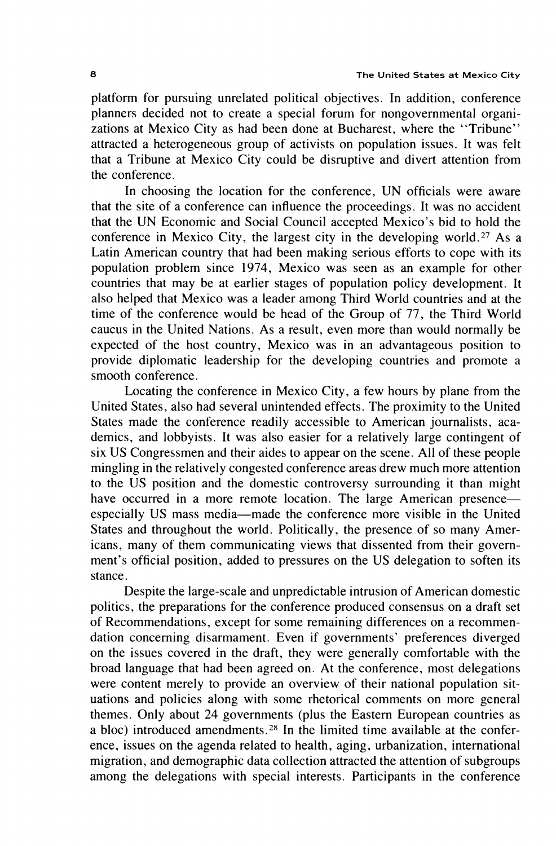platform for pursuing unrelated political objectives. In addition, conference planners decided not to create a special forum for nongovernmental organizations at Mexico City as had been done at Bucharest, where the "Tribune" attracted a heterogeneous group of activists on population issues. It was felt that a Tribune at Mexico City could be disruptive and divert attention from the conference.

In choosing the location for the conference, UN officials were aware that the site of a conference can influence the proceedings. It was no accident that the UN Economic and Social Council accepted Mexico's bid to hold the conference in Mexico City, the largest city in the developing world.<sup>27</sup> As a Latin American country that had been making serious efforts to cope with its population problem since 1974, Mexico was seen as an example for other countries that may be at earlier stages of population policy development. It also helped that Mexico was a leader among Third World countries and at the time of the conference would be head of the Group of 77, the Third World caucus in the United Nations. As a result, even more than would normally be expected of the host country, Mexico was in an advantageous position to provide diplomatic leadership for the developing countries and promote a smooth conference.

Locating the conference in Mexico City, a few hours by plane from the United States, also had several unintended effects. The proximity to the United States made the conference readily accessible to American journalists, academics, and lobbyists. It was also easier for a relatively large contingent of six US Congressmen and their aides to appear on the scene. All of these people mingling in the relatively congested conference areas drew much more attention to the US position and the domestic controversy surrounding it than might have occurred in a more remote location. The large American presence especially US mass media-made the conference more visible in the United States and throughout the world. Politically, the presence of so many Americans, many of them communicating views that dissented from their government's official position, added to pressures on the US delegation to soften its stance.

Despite the large-scale and unpredictable intrusion of American domestic politics, the preparations for the conference produced consensus on a draft set of Recommendations, except for some remaining differences on a recommendation concerning disarmament. Even if governments' preferences diverged on the issues covered in the draft, they were generally comfortable with the broad language that had been agreed on. At the conference, most delegations were content merely to provide an overview of their national population situations and policies along with some rhetorical comments on more general themes. Only about 24 governments (plus the Eastern European countries as a bloc) introduced amendments.<sup>28</sup> In the limited time available at the conference, issues on the agenda related to health, aging, urbanization, international migration, and demographic data collection attracted the attention of subgroups among the delegations with special interests. Participants in the conference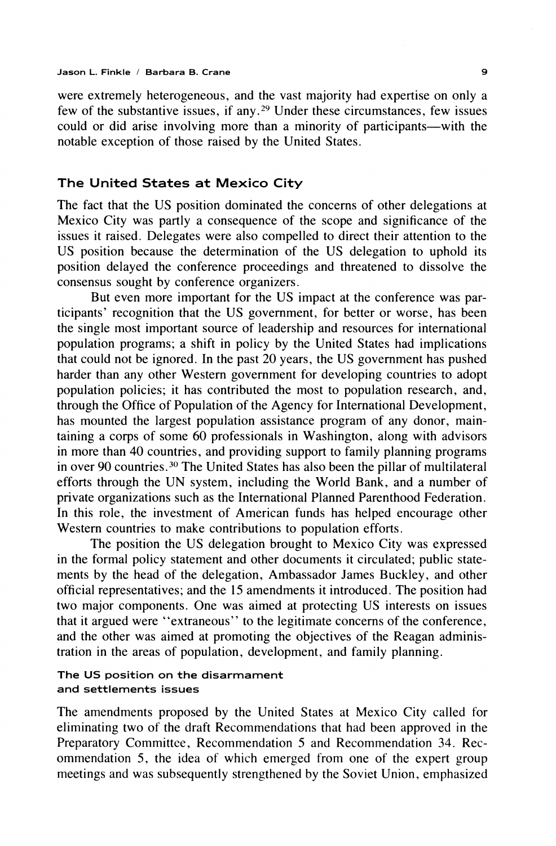were extremely heterogeneous, and the vast majority had expertise on only a few of the substantive issues, if any.<sup>29</sup> Under these circumstances, few issues could or did arise involving more than a minority of participants—with the notable exception of those raised by the United States.

# The United States at Mexico City

The fact that the US position dominated the concerns of other delegations at Mexico City was partly a consequence of the scope and significance of the issues it raised. Delegates were also compelled to direct their attention to the US position because the determination of the US delegation to uphold its position delayed the conference proceedings and threatened to dissolve the consensus sought by conference organizers.

But even more important for the US impact at the conference was participants' recognition that the US government, for better or worse, has been the single most important source of leadership and resources for international population programs; a shift in policy by the United States had implications that could not be ignored. In the past 20 years, the US government has pushed harder than any other Western government for developing countries to adopt population policies; it has contributed the most to population research, and, through the Office of Population of the Agency for International Development, has mounted the largest population assistance program of any donor, maintaining a corps of some 60 professionals in Washington, along with advisors in more than 40 countries, and providing support to family planning programs in over 90 countries.<sup>30</sup> The United States has also been the pillar of multilateral efforts through the UN system, including the World Bank, and a number of private organizations such as the International Planned Parenthood Federation. In this role, the investment of American funds has helped encourage other Western countries to make contributions to population efforts.

The position the US delegation brought to Mexico City was expressed in the formal policy statement and other documents it circulated; public statements by the head of the delegation, Ambassador James Buckley, and other official representatives; and the 15 amendments it introduced. The position had two major components. One was aimed at protecting US interests on issues that it argued were "extraneous" to the legitimate concerns of the conference, and the other was aimed at promoting the objectives of the Reagan administration in the areas of population, development, and family planning.

# The US position on the disarmament and settlements issues

The amendments proposed by the United States at Mexico City called for eliminating two of the draft Recommendations that had been approved in the Preparatory Committee, Recommendation 5 and Recommendation 34. Recommendation 5, the idea of which emerged from one of the expert group meetings and was subsequently strengthened by the Soviet Union, emphasized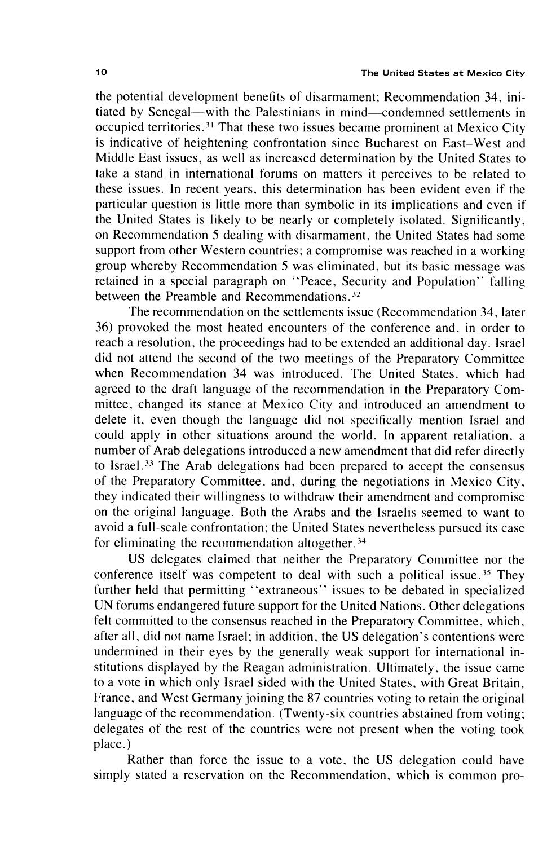the potential development benefits of disarmament; Recommendation 34, initiated by Senegal—with the Palestinians in mind—condemned settlements in occupied territories.<sup>31</sup> That these two issues became prominent at Mexico City is indicative of heightening confrontation since Bucharest on East-West and Middle East issues, as well as increased determination by the United States to take a stand in international forums on matters it perceives to be related to these issues. In recent years, this determination has been evident even if the particular question is little more than symbolic in its implications and even if the United States is likely to be nearly or completely isolated. Significantly, on Recommendation 5 dealing with disarmament, the United States had some support from other Western countries; a compromise was reached in a working group whereby Recommendation 5 was eliminated, but its basic message was retained in a special paragraph on "Peace, Security and Population" falling between the Preamble and Recommendations.<sup>32</sup>

The recommendation on the settlements issue (Recommendation 34, later 36) provoked the most heated encounters of the conference and, in order to reach a resolution, the proceedings had to be extended an additional day. Israel did not attend the second of the two meetings of the Preparatory Committee when Recommendation 34 was introduced. The United States, which had agreed to the draft language of the recommendation in the Preparatory Committee, changed its stance at Mexico City and introduced an amendment to delete it, even though the language did not specifically mention Israel and could apply in other situations around the world. In apparent retaliation, a number of Arab delegations introduced a new amendment that did refer directly to Israel.<sup>33</sup> The Arab delegations had been prepared to accept the consensus of the Preparatory Committee, and, during the negotiations in Mexico City, they indicated their willingness to withdraw their amendment and compromise on the original language. Both the Arabs and the Israelis seemed to want to avoid a full-scale confrontation; the United States nevertheless pursued its case for eliminating the recommendation altogether.<sup>34</sup>

US delegates claimed that neither the Preparatory Committee nor the conference itself was competent to deal with such a political issue.<sup>35</sup> They further held that permitting "extraneous" issues to be debated in specialized UN forums endangered future support for the United Nations. Other delegations felt committed to the consensus reached in the Preparatory Committee, which, after all, did not name Israel; in addition, the US delegation's contentions were undermined in their eyes by the generally weak support for international institutions displayed by the Reagan administration. Ultimately, the issue came to a vote in which only Israel sided with the United States, with Great Britain, France, and West Germany joining the 87 countries voting to retain the original language of the recommendation. (Twenty-six countries abstained from voting; delegates of the rest of the countries were not present when the voting took place.)

Rather than force the issue to a vote, the US delegation could have simply stated a reservation on the Recommendation, which is common pro-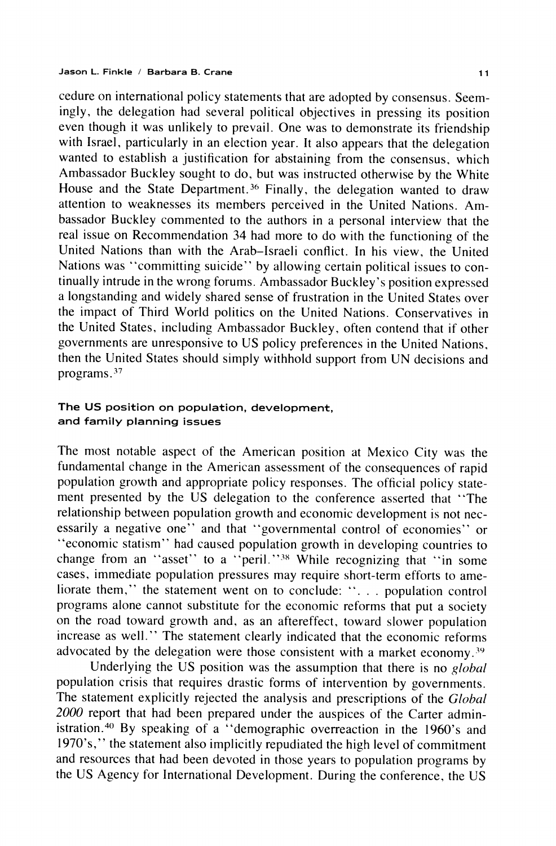cedure on international policy statements that are adopted by consensus. Seemingly, the delegation had several political objectives in pressing its position even though it was unlikely to prevail. One was to demonstrate its friendship with Israel, particularly in an election year. It also appears that the delegation wanted to establish a justification for abstaining from the consensus, which Ambassador Buckley sought to do, but was instructed otherwise by the White House and the State Department.<sup>36</sup> Finally, the delegation wanted to draw attention to weaknesses its members perceived in the United Nations. Ambassador Buckley commented to the authors in a personal interview that the real issue on Recommendation 34 had more to do with the functioning of the United Nations than with the Arab-Israeli conflict. In his view, the United Nations was "committing suicide" by allowing certain political issues to continually intrude in the wrong forums. Ambassador Buckley's position expressed a longstanding and widely shared sense of frustration in the United States over the impact of Third World politics on the United Nations. Conservatives in the United States, including Ambassador Buckley, often contend that if other governments are unresponsive to US policy preferences in the United Nations, then the United States should simply withhold support from UN decisions and programs.<sup>37</sup>

# The US position on population, development, and family planning issues

The most notable aspect of the American position at Mexico City was the fundamental change in the American assessment of the consequences of rapid population growth and appropriate policy responses. The official policy statement presented by the US delegation to the conference asserted that "The relationship between population growth and economic development is not necessarily a negative one" and that "governmental control of economies" or "economic statism" had caused population growth in developing countries to change from an "asset" to a "peril."<sup>38</sup> While recognizing that "in some cases, immediate population pressures may require short-term efforts to ameliorate them," the statement went on to conclude: "... population control programs alone cannot substitute for the economic reforms that put a society on the road toward growth and, as an aftereffect, toward slower population increase as well." The statement clearly indicated that the economic reforms advocated by the delegation were those consistent with a market economy.<sup>39</sup>

Underlying the US position was the assumption that there is no global population crisis that requires drastic forms of intervention by governments. The statement explicitly rejected the analysis and prescriptions of the *Global* 2000 report that had been prepared under the auspices of the Carter administration.<sup>40</sup> By speaking of a "demographic overreaction in the 1960's and 1970's," the statement also implicitly repudiated the high level of commitment and resources that had been devoted in those years to population programs by the US Agency for International Development. During the conference, the US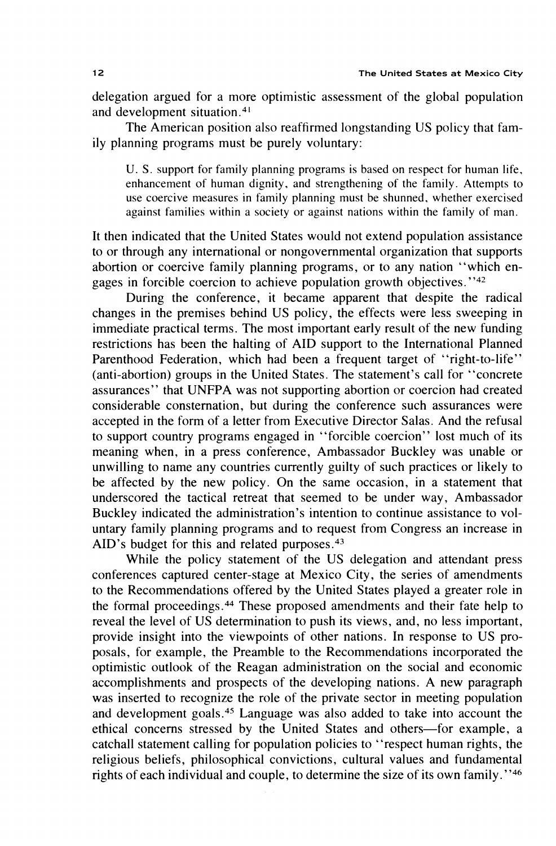delegation argued for a more optimistic assessment of the global population and development situation.<sup>41</sup>

The American position also reaffirmed longstanding US policy that family planning programs must be purely voluntary:

U. S. support for family planning programs is based on respect for human life, enhancement of human dignity, and strengthening of the family. Attempts to use coercive measures in family planning must be shunned, whether exercised against families within a society or against nations within the family of man.

It then indicated that the United States would not extend population assistance to or through any international or nongovernmental organization that supports abortion or coercive family planning programs, or to any nation "which engages in forcible coercion to achieve population growth objectives."<sup>42</sup>

During the conference, it became apparent that despite the radical changes in the premises behind US policy, the effects were less sweeping in immediate practical terms. The most important early result of the new funding restrictions has been the halting of AID support to the International Planned Parenthood Federation, which had been a frequent target of "right-to-life" (anti-abortion) groups in the United States. The statement's call for "concrete" assurances" that UNFPA was not supporting abortion or coercion had created considerable consternation, but during the conference such assurances were accepted in the form of a letter from Executive Director Salas. And the refusal to support country programs engaged in "forcible coercion" lost much of its meaning when, in a press conference, Ambassador Buckley was unable or unwilling to name any countries currently guilty of such practices or likely to be affected by the new policy. On the same occasion, in a statement that underscored the tactical retreat that seemed to be under way, Ambassador Buckley indicated the administration's intention to continue assistance to voluntary family planning programs and to request from Congress an increase in AID's budget for this and related purposes.<sup>43</sup>

While the policy statement of the US delegation and attendant press conferences captured center-stage at Mexico City, the series of amendments to the Recommendations offered by the United States played a greater role in the formal proceedings.<sup>44</sup> These proposed amendments and their fate help to reveal the level of US determination to push its views, and, no less important, provide insight into the viewpoints of other nations. In response to US proposals, for example, the Preamble to the Recommendations incorporated the optimistic outlook of the Reagan administration on the social and economic accomplishments and prospects of the developing nations. A new paragraph was inserted to recognize the role of the private sector in meeting population and development goals.<sup>45</sup> Language was also added to take into account the ethical concerns stressed by the United States and others-for example, a catchall statement calling for population policies to "respect human rights, the religious beliefs, philosophical convictions, cultural values and fundamental rights of each individual and couple, to determine the size of its own family."46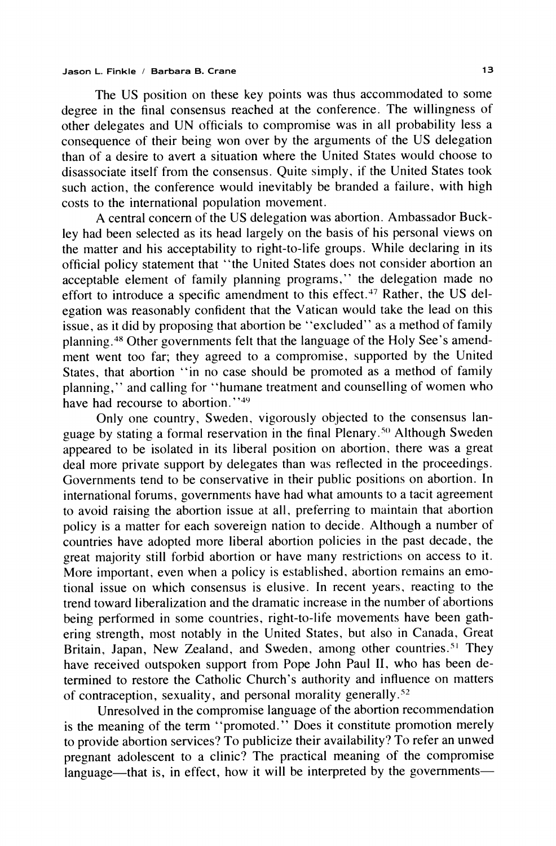The US position on these key points was thus accommodated to some degree in the final consensus reached at the conference. The willingness of other delegates and UN officials to compromise was in all probability less a consequence of their being won over by the arguments of the US delegation than of a desire to avert a situation where the United States would choose to disassociate itself from the consensus. Quite simply, if the United States took such action, the conference would inevitably be branded a failure, with high costs to the international population movement.

A central concern of the US delegation was abortion. Ambassador Buckley had been selected as its head largely on the basis of his personal views on the matter and his acceptability to right-to-life groups. While declaring in its official policy statement that "the United States does not consider abortion an acceptable element of family planning programs," the delegation made no effort to introduce a specific amendment to this effect.<sup>47</sup> Rather, the US delegation was reasonably confident that the Vatican would take the lead on this issue, as it did by proposing that abortion be "excluded" as a method of family planning.<sup>48</sup> Other governments felt that the language of the Holy See's amendment went too far; they agreed to a compromise, supported by the United States, that abortion "in no case should be promoted as a method of family planning," and calling for "humane treatment and counselling of women who have had recourse to abortion."<sup>49</sup>

Only one country, Sweden, vigorously objected to the consensus language by stating a formal reservation in the final Plenary.<sup>50</sup> Although Sweden appeared to be isolated in its liberal position on abortion, there was a great deal more private support by delegates than was reflected in the proceedings. Governments tend to be conservative in their public positions on abortion. In international forums, governments have had what amounts to a tacit agreement to avoid raising the abortion issue at all, preferring to maintain that abortion policy is a matter for each sovereign nation to decide. Although a number of countries have adopted more liberal abortion policies in the past decade, the great majority still forbid abortion or have many restrictions on access to it. More important, even when a policy is established, abortion remains an emotional issue on which consensus is elusive. In recent years, reacting to the trend toward liberalization and the dramatic increase in the number of abortions being performed in some countries, right-to-life movements have been gathering strength, most notably in the United States, but also in Canada, Great Britain, Japan, New Zealand, and Sweden, among other countries.<sup>51</sup> They have received outspoken support from Pope John Paul II, who has been determined to restore the Catholic Church's authority and influence on matters of contraception, sexuality, and personal morality generally.<sup>52</sup>

Unresolved in the compromise language of the abortion recommendation is the meaning of the term "promoted." Does it constitute promotion merely to provide abortion services? To publicize their availability? To refer an unwed pregnant adolescent to a clinic? The practical meaning of the compromise language—that is, in effect, how it will be interpreted by the governments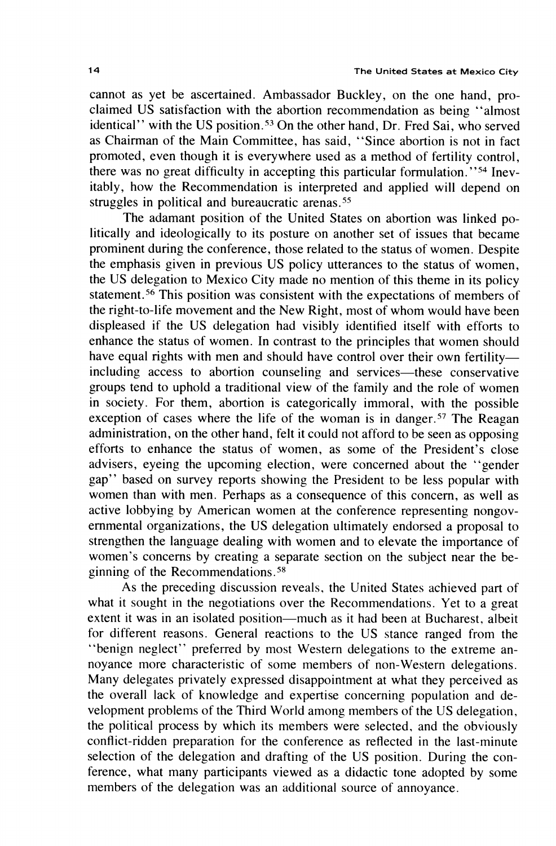cannot as yet be ascertained. Ambassador Buckley, on the one hand, proclaimed US satisfaction with the abortion recommendation as being "almost identical'' with the US position.<sup>53</sup> On the other hand, Dr. Fred Sai, who served as Chairman of the Main Committee, has said, "Since abortion is not in fact promoted, even though it is everywhere used as a method of fertility control. there was no great difficulty in accepting this particular formulation."<sup>54</sup> Inevitably, how the Recommendation is interpreted and applied will depend on struggles in political and bureaucratic arenas.<sup>55</sup>

The adamant position of the United States on abortion was linked politically and ideologically to its posture on another set of issues that became prominent during the conference, those related to the status of women. Despite the emphasis given in previous US policy utterances to the status of women, the US delegation to Mexico City made no mention of this theme in its policy statement.<sup>56</sup> This position was consistent with the expectations of members of the right-to-life movement and the New Right, most of whom would have been displeased if the US delegation had visibly identified itself with efforts to enhance the status of women. In contrast to the principles that women should have equal rights with men and should have control over their own fertilityincluding access to abortion counseling and services—these conservative groups tend to uphold a traditional view of the family and the role of women in society. For them, abortion is categorically immoral, with the possible exception of cases where the life of the woman is in danger.<sup>57</sup> The Reagan administration, on the other hand, felt it could not afford to be seen as opposing efforts to enhance the status of women, as some of the President's close advisers, eyeing the upcoming election, were concerned about the "gender gap" based on survey reports showing the President to be less popular with women than with men. Perhaps as a consequence of this concern, as well as active lobbying by American women at the conference representing nongovernmental organizations, the US delegation ultimately endorsed a proposal to strengthen the language dealing with women and to elevate the importance of women's concerns by creating a separate section on the subject near the beginning of the Recommendations.<sup>58</sup>

As the preceding discussion reveals, the United States achieved part of what it sought in the negotiations over the Recommendations. Yet to a great extent it was in an isolated position—much as it had been at Bucharest, albeit for different reasons. General reactions to the US stance ranged from the "benign neglect" preferred by most Western delegations to the extreme annoyance more characteristic of some members of non-Western delegations. Many delegates privately expressed disappointment at what they perceived as the overall lack of knowledge and expertise concerning population and development problems of the Third World among members of the US delegation, the political process by which its members were selected, and the obviously conflict-ridden preparation for the conference as reflected in the last-minute selection of the delegation and drafting of the US position. During the conference, what many participants viewed as a didactic tone adopted by some members of the delegation was an additional source of annoyance.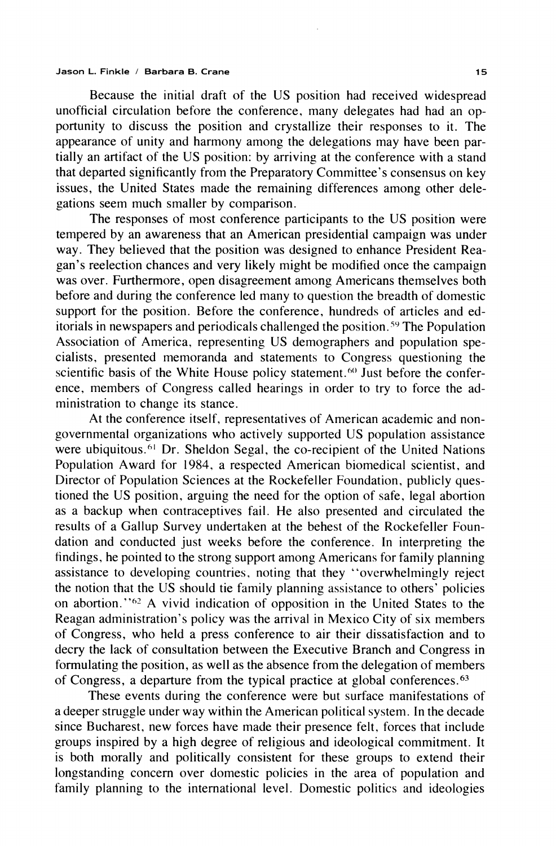Because the initial draft of the US position had received widespread unofficial circulation before the conference, many delegates had had an opportunity to discuss the position and crystallize their responses to it. The appearance of unity and harmony among the delegations may have been partially an artifact of the US position: by arriving at the conference with a stand that departed significantly from the Preparatory Committee's consensus on key issues, the United States made the remaining differences among other delegations seem much smaller by comparison.

The responses of most conference participants to the US position were tempered by an awareness that an American presidential campaign was under way. They believed that the position was designed to enhance President Reagan's reelection chances and very likely might be modified once the campaign was over. Furthermore, open disagreement among Americans themselves both before and during the conference led many to question the breadth of domestic support for the position. Before the conference, hundreds of articles and editorials in newspapers and periodicals challenged the position.<sup>59</sup> The Population Association of America, representing US demographers and population specialists, presented memoranda and statements to Congress questioning the scientific basis of the White House policy statement.<sup>60</sup> Just before the conference, members of Congress called hearings in order to try to force the administration to change its stance.

At the conference itself, representatives of American academic and nongovernmental organizations who actively supported US population assistance were ubiquitous.<sup>61</sup> Dr. Sheldon Segal, the co-recipient of the United Nations Population Award for 1984, a respected American biomedical scientist, and Director of Population Sciences at the Rockefeller Foundation, publicly questioned the US position, arguing the need for the option of safe, legal abortion as a backup when contraceptives fail. He also presented and circulated the results of a Gallup Survey undertaken at the behest of the Rockefeller Foundation and conducted just weeks before the conference. In interpreting the findings, he pointed to the strong support among Americans for family planning assistance to developing countries, noting that they "overwhelmingly reject the notion that the US should tie family planning assistance to others' policies on abortion."<sup>62</sup> A vivid indication of opposition in the United States to the Reagan administration's policy was the arrival in Mexico City of six members of Congress, who held a press conference to air their dissatisfaction and to decry the lack of consultation between the Executive Branch and Congress in formulating the position, as well as the absence from the delegation of members of Congress, a departure from the typical practice at global conferences.<sup>63</sup>

These events during the conference were but surface manifestations of a deeper struggle under way within the American political system. In the decade since Bucharest, new forces have made their presence felt, forces that include groups inspired by a high degree of religious and ideological commitment. It is both morally and politically consistent for these groups to extend their longstanding concern over domestic policies in the area of population and family planning to the international level. Domestic politics and ideologies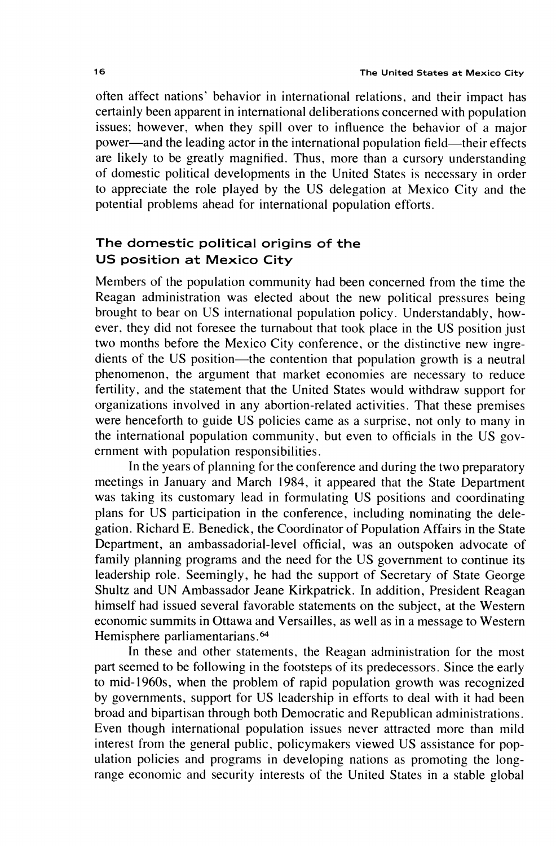often affect nations' behavior in international relations, and their impact has certainly been apparent in international deliberations concerned with population issues; however, when they spill over to influence the behavior of a major power—and the leading actor in the international population field—their effects are likely to be greatly magnified. Thus, more than a cursory understanding of domestic political developments in the United States is necessary in order to appreciate the role played by the US delegation at Mexico City and the potential problems ahead for international population efforts.

# The domestic political origins of the US position at Mexico City

Members of the population community had been concerned from the time the Reagan administration was elected about the new political pressures being brought to bear on US international population policy. Understandably, however, they did not foresee the turnabout that took place in the US position just two months before the Mexico City conference, or the distinctive new ingredients of the US position—the contention that population growth is a neutral phenomenon, the argument that market economies are necessary to reduce fertility, and the statement that the United States would withdraw support for organizations involved in any abortion-related activities. That these premises were henceforth to guide US policies came as a surprise, not only to many in the international population community, but even to officials in the US government with population responsibilities.

In the years of planning for the conference and during the two preparatory meetings in January and March 1984, it appeared that the State Department was taking its customary lead in formulating US positions and coordinating plans for US participation in the conference, including nominating the delegation. Richard E. Benedick, the Coordinator of Population Affairs in the State Department, an ambassadorial-level official, was an outspoken advocate of family planning programs and the need for the US government to continue its leadership role. Seemingly, he had the support of Secretary of State George Shultz and UN Ambassador Jeane Kirkpatrick. In addition, President Reagan himself had issued several favorable statements on the subject, at the Western economic summits in Ottawa and Versailles, as well as in a message to Western Hemisphere parliamentarians.<sup>64</sup>

In these and other statements, the Reagan administration for the most part seemed to be following in the footsteps of its predecessors. Since the early to mid-1960s, when the problem of rapid population growth was recognized by governments, support for US leadership in efforts to deal with it had been broad and bipartisan through both Democratic and Republican administrations. Even though international population issues never attracted more than mild interest from the general public, policymakers viewed US assistance for population policies and programs in developing nations as promoting the longrange economic and security interests of the United States in a stable global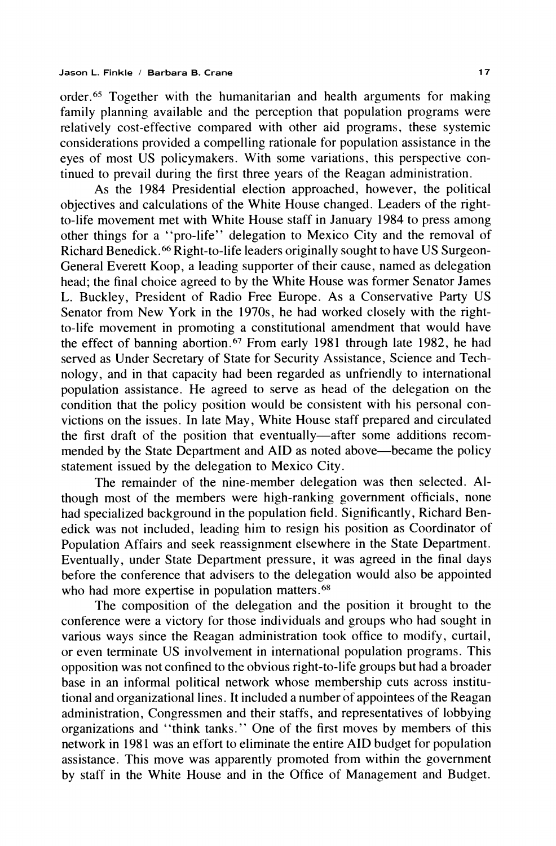order.<sup>65</sup> Together with the humanitarian and health arguments for making family planning available and the perception that population programs were relatively cost-effective compared with other aid programs, these systemic considerations provided a compelling rationale for population assistance in the eyes of most US policymakers. With some variations, this perspective continued to prevail during the first three years of the Reagan administration.

As the 1984 Presidential election approached, however, the political objectives and calculations of the White House changed. Leaders of the rightto-life movement met with White House staff in January 1984 to press among other things for a "pro-life" delegation to Mexico City and the removal of Richard Benedick.<sup>66</sup> Right-to-life leaders originally sought to have US Surgeon-General Everett Koop, a leading supporter of their cause, named as delegation head; the final choice agreed to by the White House was former Senator James L. Buckley, President of Radio Free Europe. As a Conservative Party US Senator from New York in the 1970s, he had worked closely with the rightto-life movement in promoting a constitutional amendment that would have the effect of banning abortion.<sup>67</sup> From early 1981 through late 1982, he had served as Under Secretary of State for Security Assistance, Science and Technology, and in that capacity had been regarded as unfriendly to international population assistance. He agreed to serve as head of the delegation on the condition that the policy position would be consistent with his personal convictions on the issues. In late May, White House staff prepared and circulated the first draft of the position that eventually—after some additions recommended by the State Department and AID as noted above—became the policy statement issued by the delegation to Mexico City.

The remainder of the nine-member delegation was then selected. Although most of the members were high-ranking government officials, none had specialized background in the population field. Significantly, Richard Benedick was not included, leading him to resign his position as Coordinator of Population Affairs and seek reassignment elsewhere in the State Department. Eventually, under State Department pressure, it was agreed in the final days before the conference that advisers to the delegation would also be appointed who had more expertise in population matters.<sup>68</sup>

The composition of the delegation and the position it brought to the conference were a victory for those individuals and groups who had sought in various ways since the Reagan administration took office to modify, curtail, or even terminate US involvement in international population programs. This opposition was not confined to the obvious right-to-life groups but had a broader base in an informal political network whose membership cuts across institutional and organizational lines. It included a number of appointees of the Reagan administration, Congressmen and their staffs, and representatives of lobbying organizations and "think tanks." One of the first moves by members of this network in 1981 was an effort to eliminate the entire AID budget for population assistance. This move was apparently promoted from within the government by staff in the White House and in the Office of Management and Budget.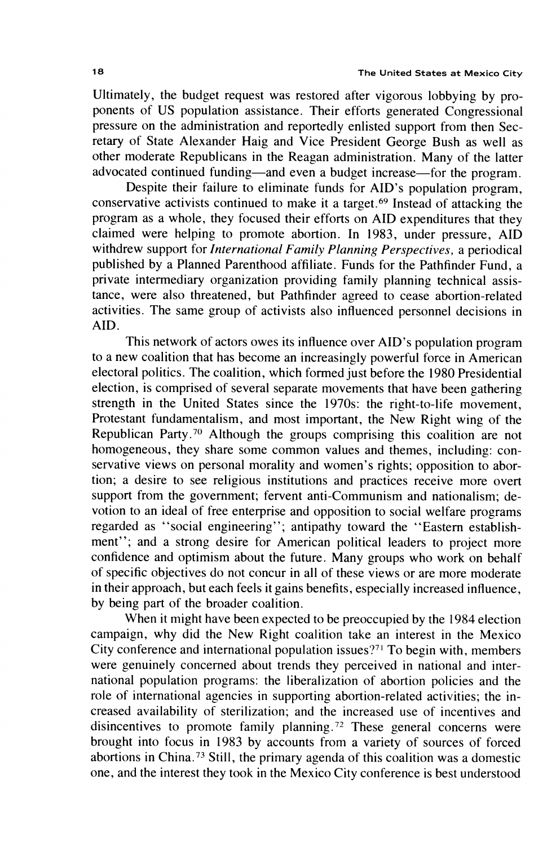Ultimately, the budget request was restored after vigorous lobbying by proponents of US population assistance. Their efforts generated Congressional pressure on the administration and reportedly enlisted support from then Secretary of State Alexander Haig and Vice President George Bush as well as other moderate Republicans in the Reagan administration. Many of the latter advocated continued funding—and even a budget increase—for the program.

Despite their failure to eliminate funds for AID's population program, conservative activists continued to make it a target.<sup>69</sup> Instead of attacking the program as a whole, they focused their efforts on AID expenditures that they claimed were helping to promote abortion. In 1983, under pressure, AID withdrew support for International Family Planning Perspectives, a periodical published by a Planned Parenthood affiliate. Funds for the Pathfinder Fund, a private intermediary organization providing family planning technical assistance, were also threatened, but Pathfinder agreed to cease abortion-related activities. The same group of activists also influenced personnel decisions in AID.

This network of actors owes its influence over AID's population program to a new coalition that has become an increasingly powerful force in American electoral politics. The coalition, which formed just before the 1980 Presidential election, is comprised of several separate movements that have been gathering strength in the United States since the 1970s: the right-to-life movement, Protestant fundamentalism, and most important, the New Right wing of the Republican Party.<sup>70</sup> Although the groups comprising this coalition are not homogeneous, they share some common values and themes, including: conservative views on personal morality and women's rights; opposition to abortion; a desire to see religious institutions and practices receive more overt support from the government; fervent anti-Communism and nationalism; devotion to an ideal of free enterprise and opposition to social welfare programs regarded as "social engineering"; antipathy toward the "Eastern establishment"; and a strong desire for American political leaders to project more confidence and optimism about the future. Many groups who work on behalf of specific objectives do not concur in all of these views or are more moderate in their approach, but each feels it gains benefits, especially increased influence. by being part of the broader coalition.

When it might have been expected to be preoccupied by the 1984 election campaign, why did the New Right coalition take an interest in the Mexico City conference and international population issues?<sup>71</sup> To begin with, members were genuinely concerned about trends they perceived in national and international population programs: the liberalization of abortion policies and the role of international agencies in supporting abortion-related activities; the increased availability of sterilization; and the increased use of incentives and disincentives to promote family planning.<sup>72</sup> These general concerns were brought into focus in 1983 by accounts from a variety of sources of forced abortions in China.<sup>73</sup> Still, the primary agenda of this coalition was a domestic one, and the interest they took in the Mexico City conference is best understood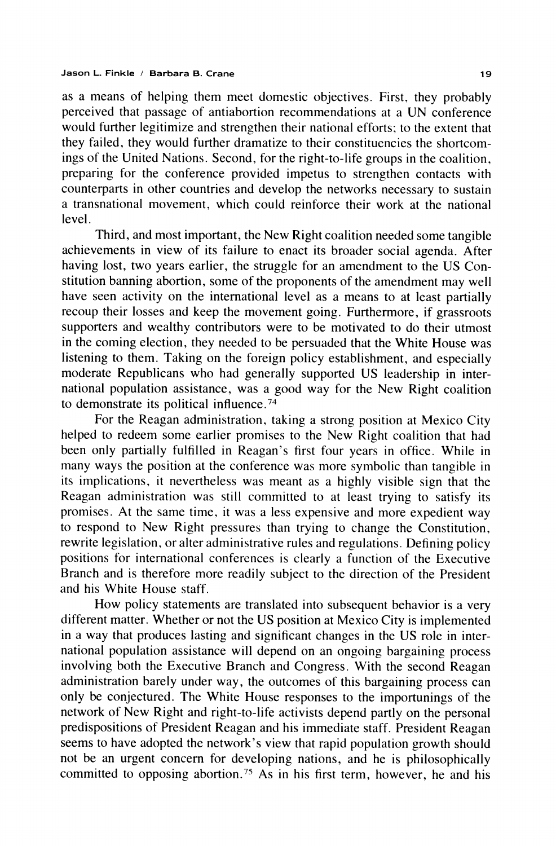as a means of helping them meet domestic objectives. First, they probably perceived that passage of antiabortion recommendations at a UN conference would further legitimize and strengthen their national efforts; to the extent that they failed, they would further dramatize to their constituencies the shortcomings of the United Nations. Second, for the right-to-life groups in the coalition, preparing for the conference provided impetus to strengthen contacts with counterparts in other countries and develop the networks necessary to sustain a transnational movement, which could reinforce their work at the national level.

Third, and most important, the New Right coalition needed some tangible achievements in view of its failure to enact its broader social agenda. After having lost, two years earlier, the struggle for an amendment to the US Constitution banning abortion, some of the proponents of the amendment may well have seen activity on the international level as a means to at least partially recoup their losses and keep the movement going. Furthermore, if grassroots supporters and wealthy contributors were to be motivated to do their utmost in the coming election, they needed to be persuaded that the White House was listening to them. Taking on the foreign policy establishment, and especially moderate Republicans who had generally supported US leadership in international population assistance, was a good way for the New Right coalition to demonstrate its political influence.<sup>74</sup>

For the Reagan administration, taking a strong position at Mexico City helped to redeem some earlier promises to the New Right coalition that had been only partially fulfilled in Reagan's first four years in office. While in many ways the position at the conference was more symbolic than tangible in its implications, it nevertheless was meant as a highly visible sign that the Reagan administration was still committed to at least trying to satisfy its promises. At the same time, it was a less expensive and more expedient way to respond to New Right pressures than trying to change the Constitution, rewrite legislation, or alter administrative rules and regulations. Defining policy positions for international conferences is clearly a function of the Executive Branch and is therefore more readily subject to the direction of the President and his White House staff.

How policy statements are translated into subsequent behavior is a very different matter. Whether or not the US position at Mexico City is implemented in a way that produces lasting and significant changes in the US role in international population assistance will depend on an ongoing bargaining process involving both the Executive Branch and Congress. With the second Reagan administration barely under way, the outcomes of this bargaining process can only be conjectured. The White House responses to the importunings of the network of New Right and right-to-life activists depend partly on the personal predispositions of President Reagan and his immediate staff. President Reagan seems to have adopted the network's view that rapid population growth should not be an urgent concern for developing nations, and he is philosophically committed to opposing abortion.<sup>75</sup> As in his first term, however, he and his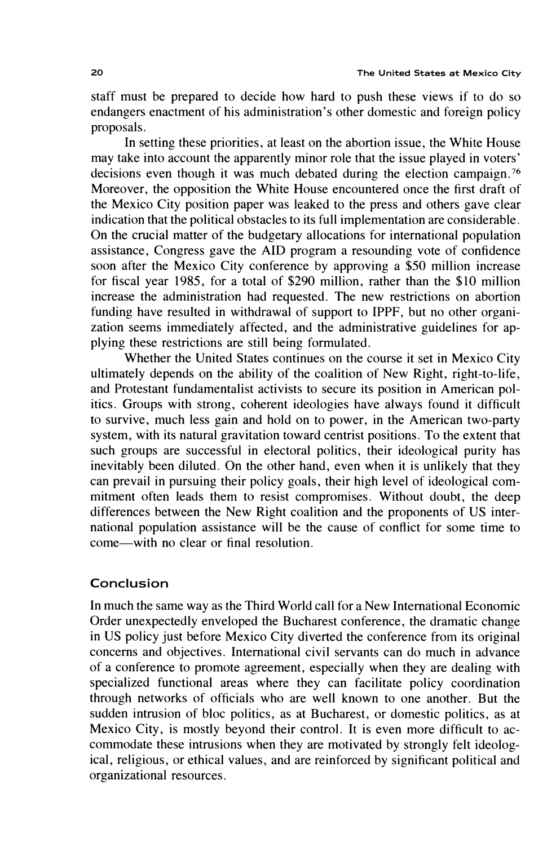staff must be prepared to decide how hard to push these views if to do so endangers enactment of his administration's other domestic and foreign policy proposals.

In setting these priorities, at least on the abortion issue, the White House may take into account the apparently minor role that the issue played in voters' decisions even though it was much debated during the election campaign.<sup>76</sup> Moreover, the opposition the White House encountered once the first draft of the Mexico City position paper was leaked to the press and others gave clear indication that the political obstacles to its full implementation are considerable. On the crucial matter of the budgetary allocations for international population assistance, Congress gave the AID program a resounding vote of confidence soon after the Mexico City conference by approving a \$50 million increase for fiscal year 1985, for a total of \$290 million, rather than the \$10 million increase the administration had requested. The new restrictions on abortion funding have resulted in withdrawal of support to IPPF, but no other organization seems immediately affected, and the administrative guidelines for applying these restrictions are still being formulated.

Whether the United States continues on the course it set in Mexico City ultimately depends on the ability of the coalition of New Right, right-to-life, and Protestant fundamentalist activists to secure its position in American politics. Groups with strong, coherent ideologies have always found it difficult to survive, much less gain and hold on to power, in the American two-party system, with its natural gravitation toward centrist positions. To the extent that such groups are successful in electoral politics, their ideological purity has inevitably been diluted. On the other hand, even when it is unlikely that they can prevail in pursuing their policy goals, their high level of ideological commitment often leads them to resist compromises. Without doubt, the deep differences between the New Right coalition and the proponents of US international population assistance will be the cause of conflict for some time to come—with no clear or final resolution.

# Conclusion

In much the same way as the Third World call for a New International Economic Order unexpectedly enveloped the Bucharest conference, the dramatic change in US policy just before Mexico City diverted the conference from its original concerns and objectives. International civil servants can do much in advance of a conference to promote agreement, especially when they are dealing with specialized functional areas where they can facilitate policy coordination through networks of officials who are well known to one another. But the sudden intrusion of bloc politics, as at Bucharest, or domestic politics, as at Mexico City, is mostly beyond their control. It is even more difficult to accommodate these intrusions when they are motivated by strongly felt ideological, religious, or ethical values, and are reinforced by significant political and organizational resources.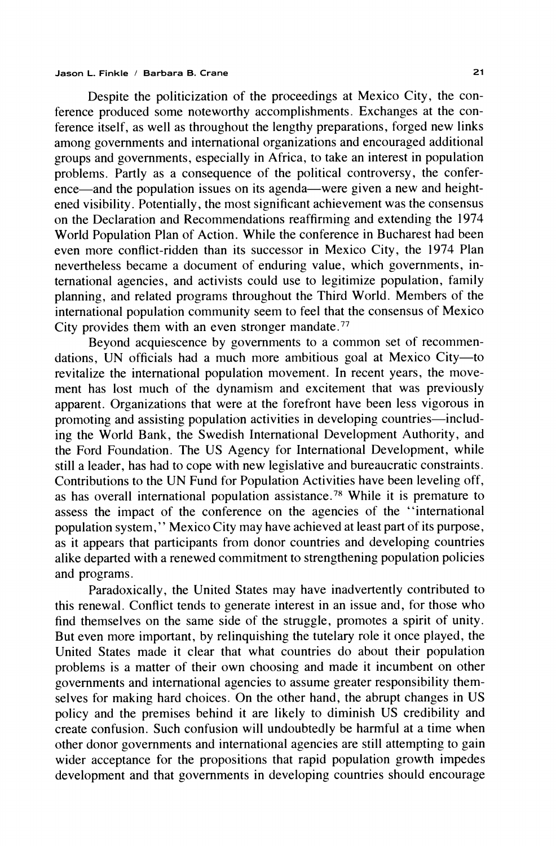Despite the politicization of the proceedings at Mexico City, the conference produced some noteworthy accomplishments. Exchanges at the conference itself, as well as throughout the lengthy preparations, forged new links among governments and international organizations and encouraged additional groups and governments, especially in Africa, to take an interest in population problems. Partly as a consequence of the political controversy, the conference—and the population issues on its agenda—were given a new and heightened visibility. Potentially, the most significant achievement was the consensus on the Declaration and Recommendations reaffirming and extending the 1974 World Population Plan of Action. While the conference in Bucharest had been even more conflict-ridden than its successor in Mexico City, the 1974 Plan nevertheless became a document of enduring value, which governments, international agencies, and activists could use to legitimize population, family planning, and related programs throughout the Third World. Members of the international population community seem to feel that the consensus of Mexico City provides them with an even stronger mandate.<sup>77</sup>

Beyond acquiescence by governments to a common set of recommendations, UN officials had a much more ambitious goal at Mexico City-to revitalize the international population movement. In recent years, the movement has lost much of the dynamism and excitement that was previously apparent. Organizations that were at the forefront have been less vigorous in promoting and assisting population activities in developing countries—including the World Bank, the Swedish International Development Authority, and the Ford Foundation. The US Agency for International Development, while still a leader, has had to cope with new legislative and bureaucratic constraints. Contributions to the UN Fund for Population Activities have been leveling off, as has overall international population assistance.<sup>78</sup> While it is premature to assess the impact of the conference on the agencies of the "international population system," Mexico City may have achieved at least part of its purpose, as it appears that participants from donor countries and developing countries alike departed with a renewed commitment to strengthening population policies and programs.

Paradoxically, the United States may have inadvertently contributed to this renewal. Conflict tends to generate interest in an issue and, for those who find themselves on the same side of the struggle, promotes a spirit of unity. But even more important, by relinguishing the tutelary role it once played, the United States made it clear that what countries do about their population problems is a matter of their own choosing and made it incumbent on other governments and international agencies to assume greater responsibility themselves for making hard choices. On the other hand, the abrupt changes in US policy and the premises behind it are likely to diminish US credibility and create confusion. Such confusion will undoubtedly be harmful at a time when other donor governments and international agencies are still attempting to gain wider acceptance for the propositions that rapid population growth impedes development and that governments in developing countries should encourage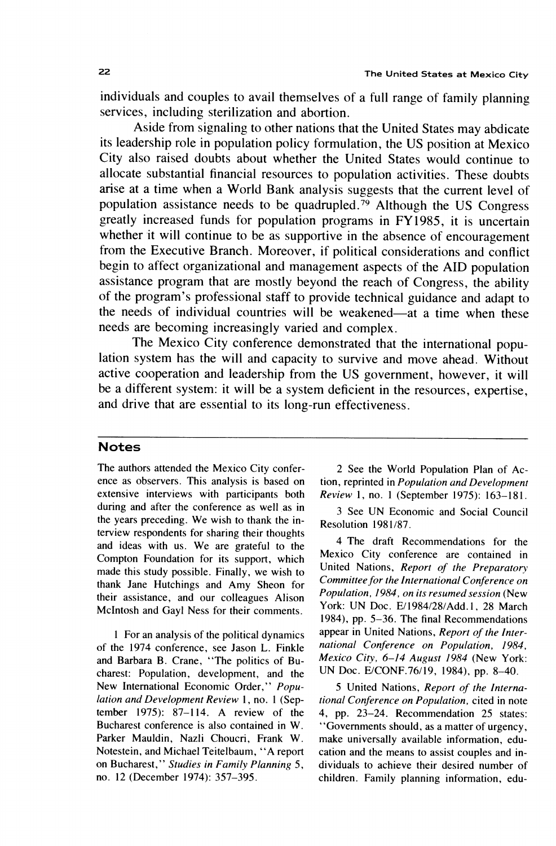individuals and couples to avail themselves of a full range of family planning services, including sterilization and abortion.

Aside from signaling to other nations that the United States may abdicate its leadership role in population policy formulation, the US position at Mexico City also raised doubts about whether the United States would continue to allocate substantial financial resources to population activities. These doubts arise at a time when a World Bank analysis suggests that the current level of population assistance needs to be quadrupled.<sup>79</sup> Although the US Congress greatly increased funds for population programs in FY1985, it is uncertain whether it will continue to be as supportive in the absence of encouragement from the Executive Branch. Moreover, if political considerations and conflict begin to affect organizational and management aspects of the AID population assistance program that are mostly beyond the reach of Congress, the ability of the program's professional staff to provide technical guidance and adapt to the needs of individual countries will be weakened—at a time when these needs are becoming increasingly varied and complex.

The Mexico City conference demonstrated that the international population system has the will and capacity to survive and move ahead. Without active cooperation and leadership from the US government, however, it will be a different system: it will be a system deficient in the resources, expertise, and drive that are essential to its long-run effectiveness.

## **Notes**

The authors attended the Mexico City conference as observers. This analysis is based on extensive interviews with participants both during and after the conference as well as in the years preceding. We wish to thank the interview respondents for sharing their thoughts and ideas with us. We are grateful to the Compton Foundation for its support, which made this study possible. Finally, we wish to thank Jane Hutchings and Amy Sheon for their assistance, and our colleagues Alison McIntosh and Gayl Ness for their comments.

1 For an analysis of the political dynamics of the 1974 conference, see Jason L. Finkle and Barbara B. Crane, "The politics of Bucharest: Population, development, and the New International Economic Order," Population and Development Review 1, no. 1 (September 1975):  $87-114$ . A review of the Bucharest conference is also contained in W. Parker Mauldin, Nazli Choucri, Frank W. Notestein, and Michael Teitelbaum, "A report on Bucharest," Studies in Family Planning 5, no. 12 (December 1974): 357-395.

2 See the World Population Plan of Action, reprinted in Population and Development Review 1, no. 1 (September 1975): 163-181.

3 See UN Economic and Social Council Resolution 1981/87.

4 The draft Recommendations for the Mexico City conference are contained in United Nations, Report of the Preparatory Committee for the International Conference on Population, 1984, on its resumed session (New York: UN Doc. E/1984/28/Add.1, 28 March 1984), pp. 5-36. The final Recommendations appear in United Nations, Report of the International Conference on Population, 1984, Mexico City, 6-14 August 1984 (New York: UN Doc. E/CONF.76/19, 1984), pp. 8-40.

5 United Nations, Report of the International Conference on Population, cited in note 4, pp. 23–24. Recommendation 25 states: "Governments should, as a matter of urgency, make universally available information, education and the means to assist couples and individuals to achieve their desired number of children. Family planning information, edu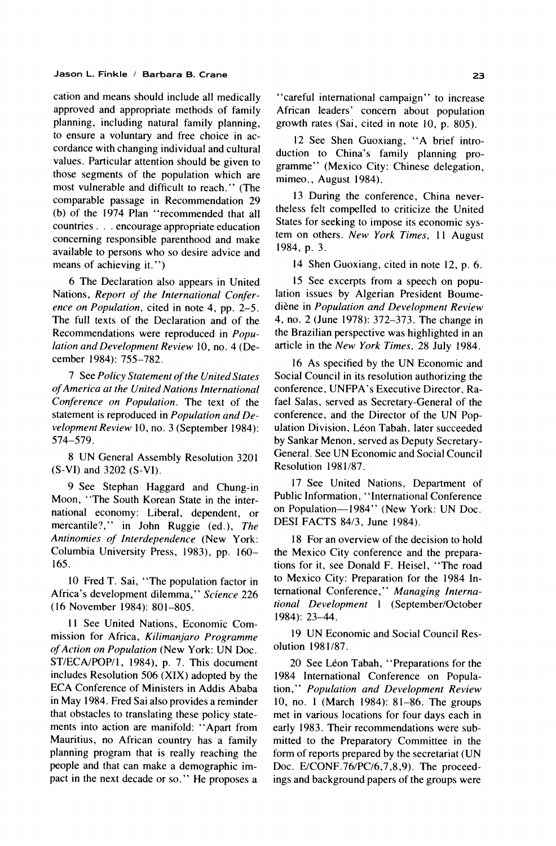cation and means should include all medically approved and appropriate methods of family planning, including natural family planning, to ensure a voluntary and free choice in accordance with changing individual and cultural values. Particular attention should be given to those segments of the population which are most vulnerable and difficult to reach." (The comparable passage in Recommendation 29 (b) of the 1974 Plan "recommended that all countries . . . encourage appropriate education concerning responsible parenthood and make available to persons who so desire advice and means of achieving it.")

6 The Declaration also appears in United Nations, Report of the International Conference on Population, cited in note 4, pp. 2-5. The full texts of the Declaration and of the Recommendations were reproduced in Population and Development Review 10, no. 4 (December 1984): 755-782.

7 See Policy Statement of the United States of America at the United Nations International Conference on Population. The text of the statement is reproduced in Population and Development Review 10, no. 3 (September 1984): 574-579.

8 UN General Assembly Resolution 3201  $(S-VI)$  and 3202  $(S-VI)$ .

9 See Stephan Haggard and Chung-in Moon, "The South Korean State in the international economy: Liberal, dependent, or mercantile?," in John Ruggie (ed.), The Antinomies of Interdependence (New York: Columbia University Press, 1983), pp. 160-165.

10 Fred T. Sai, "The population factor in Africa's development dilemma," Science 226 (16 November 1984): 801-805.

11 See United Nations, Economic Commission for Africa, Kilimanjaro Programme of Action on Population (New York: UN Doc. ST/ECA/POP/1, 1984), p. 7. This document includes Resolution 506 (XIX) adopted by the ECA Conference of Ministers in Addis Ababa in May 1984. Fred Sai also provides a reminder that obstacles to translating these policy statements into action are manifold: "Apart from Mauritius, no African country has a family planning program that is really reaching the people and that can make a demographic impact in the next decade or so." He proposes a

"careful international campaign" to increase African leaders' concern about population growth rates (Sai, cited in note 10, p. 805).

12 See Shen Guoxiang, "A brief introduction to China's family planning programme" (Mexico City: Chinese delegation, mimeo., August 1984).

13 During the conference, China nevertheless felt compelled to criticize the United States for seeking to impose its economic system on others. New York Times, 11 August 1984, p. 3.

14 Shen Guoxiang, cited in note 12, p. 6.

15 See excerpts from a speech on population issues by Algerian President Boumediène in Population and Development Review 4, no. 2 (June 1978): 372–373. The change in the Brazilian perspective was highlighted in an article in the New York Times, 28 July 1984.

16 As specified by the UN Economic and Social Council in its resolution authorizing the conference, UNFPA's Executive Director, Rafael Salas, served as Secretary-General of the conference, and the Director of the UN Population Division, Léon Tabah, later succeeded by Sankar Menon, served as Deputy Secretary-General. See UN Economic and Social Council Resolution 1981/87.

17 See United Nations, Department of Public Information, "International Conference on Population-1984" (New York: UN Doc. DESI FACTS 84/3, June 1984).

18 For an overview of the decision to hold the Mexico City conference and the preparations for it, see Donald F. Heisel, "The road to Mexico City: Preparation for the 1984 International Conference," Managing International Development 1 (September/October 1984): 23-44.

19 UN Economic and Social Council Resolution 1981/87.

20 See Léon Tabah, "Preparations for the 1984 International Conference on Population," Population and Development Review 10, no. 1 (March 1984): 81-86. The groups met in various locations for four days each in early 1983. Their recommendations were submitted to the Preparatory Committee in the form of reports prepared by the secretariat (UN Doc. E/CONF.76/PC/6,7,8,9). The proceedings and background papers of the groups were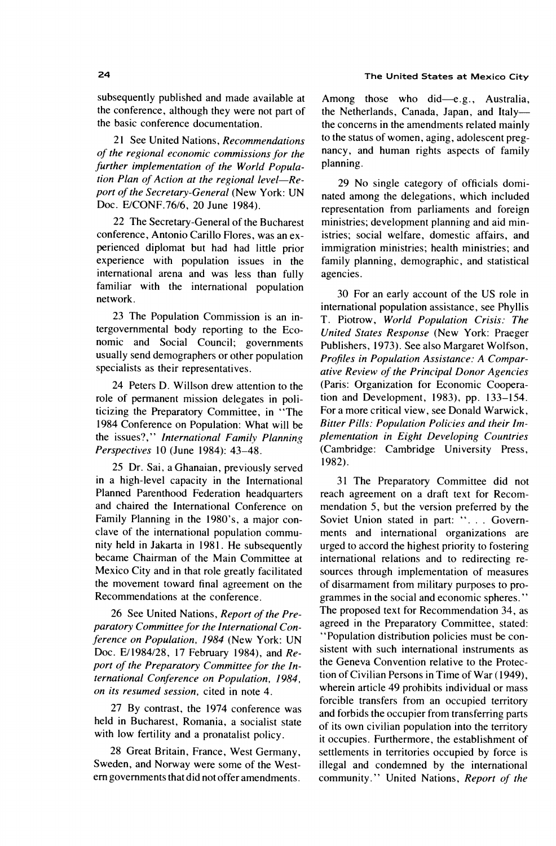subsequently published and made available at the conference, although they were not part of the basic conference documentation.

21 See United Nations, Recommendations of the regional economic commissions for the further implementation of the World Population Plan of Action at the regional level-Report of the Secretary-General (New York: UN Doc. E/CONF.76/6, 20 June 1984).

22 The Secretary-General of the Bucharest conference, Antonio Carillo Flores, was an experienced diplomat but had had little prior experience with population issues in the international arena and was less than fully familiar with the international population network.

23 The Population Commission is an intergovernmental body reporting to the Economic and Social Council; governments usually send demographers or other population specialists as their representatives.

24 Peters D. Willson drew attention to the role of permanent mission delegates in politicizing the Preparatory Committee, in "The 1984 Conference on Population: What will be the issues?," International Family Planning Perspectives 10 (June 1984): 43-48.

25 Dr. Sai, a Ghanaian, previously served in a high-level capacity in the International Planned Parenthood Federation headquarters and chaired the International Conference on Family Planning in the 1980's, a major conclave of the international population community held in Jakarta in 1981. He subsequently became Chairman of the Main Committee at Mexico City and in that role greatly facilitated the movement toward final agreement on the Recommendations at the conference.

26 See United Nations, Report of the Preparatory Committee for the International Conference on Population, 1984 (New York: UN Doc. E/1984/28, 17 February 1984), and Report of the Preparatory Committee for the International Conference on Population, 1984, on its resumed session, cited in note 4.

27 By contrast, the 1974 conference was held in Bucharest, Romania, a socialist state with low fertility and a pronatalist policy.

28 Great Britain, France, West Germany, Sweden, and Norway were some of the Western governments that did not offer amendments.

Among those who did-e.g., Australia, the Netherlands, Canada, Japan, and Italythe concerns in the amendments related mainly to the status of women, aging, adolescent pregnancy, and human rights aspects of family planning.

29 No single category of officials dominated among the delegations, which included representation from parliaments and foreign ministries; development planning and aid ministries; social welfare, domestic affairs, and immigration ministries; health ministries; and family planning, demographic, and statistical agencies.

30 For an early account of the US role in international population assistance, see Phyllis T. Piotrow, World Population Crisis: The United States Response (New York: Praeger Publishers, 1973). See also Margaret Wolfson, Profiles in Population Assistance: A Comparative Review of the Principal Donor Agencies (Paris: Organization for Economic Cooperation and Development, 1983), pp. 133–154. For a more critical view, see Donald Warwick, Bitter Pills: Population Policies and their Implementation in Eight Developing Countries (Cambridge: Cambridge University Press, 1982).

31 The Preparatory Committee did not reach agreement on a draft text for Recommendation 5, but the version preferred by the Soviet Union stated in part: ". . . Governments and international organizations are urged to accord the highest priority to fostering international relations and to redirecting resources through implementation of measures of disarmament from military purposes to programmes in the social and economic spheres." The proposed text for Recommendation 34, as agreed in the Preparatory Committee, stated: "Population distribution policies must be consistent with such international instruments as the Geneva Convention relative to the Protection of Civilian Persons in Time of War (1949). wherein article 49 prohibits individual or mass forcible transfers from an occupied territory and forbids the occupier from transferring parts of its own civilian population into the territory it occupies. Furthermore, the establishment of settlements in territories occupied by force is illegal and condemned by the international community." United Nations, Report of the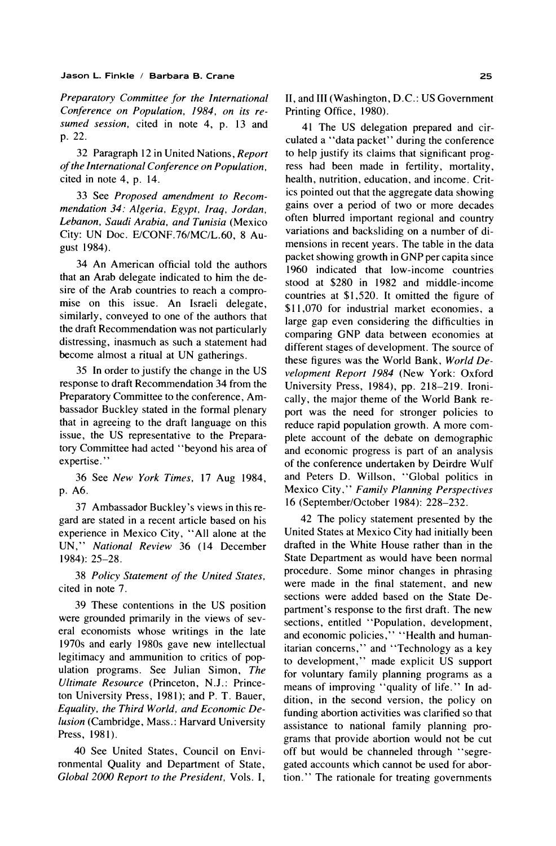Preparatory Committee for the International Conference on Population, 1984, on its resumed session, cited in note 4, p. 13 and p. 22.

32 Paragraph 12 in United Nations, Report of the International Conference on Population, cited in note 4, p. 14.

33 See Proposed amendment to Recommendation 34: Algeria, Egypt, Iraq, Jordan, Lebanon, Saudi Arabia, and Tunisia (Mexico City: UN Doc. E/CONF.76/MC/L.60, 8 August 1984).

34 An American official told the authors that an Arab delegate indicated to him the desire of the Arab countries to reach a compromise on this issue. An Israeli delegate, similarly, conveyed to one of the authors that the draft Recommendation was not particularly distressing, inasmuch as such a statement had become almost a ritual at UN gatherings.

35 In order to justify the change in the US response to draft Recommendation 34 from the Preparatory Committee to the conference, Ambassador Buckley stated in the formal plenary that in agreeing to the draft language on this issue, the US representative to the Preparatory Committee had acted "beyond his area of expertise."

36 See New York Times, 17 Aug 1984, p. A6.

37 Ambassador Buckley's views in this regard are stated in a recent article based on his experience in Mexico City, "All alone at the UN," National Review 36 (14 December 1984): 25-28.

38 Policy Statement of the United States, cited in note 7.

39 These contentions in the US position were grounded primarily in the views of several economists whose writings in the late 1970s and early 1980s gave new intellectual legitimacy and ammunition to critics of population programs. See Julian Simon, The Ultimate Resource (Princeton, N.J.: Princeton University Press, 1981); and P. T. Bauer, Equality, the Third World, and Economic Delusion (Cambridge, Mass.: Harvard University Press, 1981).

40 See United States, Council on Environmental Quality and Department of State, Global 2000 Report to the President, Vols. I, II, and III (Washington, D.C.: US Government Printing Office, 1980).

41 The US delegation prepared and circulated a "data packet" during the conference to help justify its claims that significant progress had been made in fertility, mortality, health, nutrition, education, and income. Critics pointed out that the aggregate data showing gains over a period of two or more decades often blurred important regional and country variations and backsliding on a number of dimensions in recent years. The table in the data packet showing growth in GNP per capita since 1960 indicated that low-income countries stood at \$280 in 1982 and middle-income countries at \$1,520. It omitted the figure of \$11,070 for industrial market economies, a large gap even considering the difficulties in comparing GNP data between economies at different stages of development. The source of these figures was the World Bank, World Development Report 1984 (New York: Oxford University Press, 1984), pp. 218-219. Ironically, the major theme of the World Bank report was the need for stronger policies to reduce rapid population growth. A more complete account of the debate on demographic and economic progress is part of an analysis of the conference undertaken by Deirdre Wulf and Peters D. Willson, "Global politics in Mexico City," Family Planning Perspectives 16 (September/October 1984): 228-232.

42 The policy statement presented by the United States at Mexico City had initially been drafted in the White House rather than in the State Department as would have been normal procedure. Some minor changes in phrasing were made in the final statement, and new sections were added based on the State Department's response to the first draft. The new sections, entitled "Population, development, and economic policies," "Health and humanitarian concerns," and "Technology as a key to development," made explicit US support for voluntary family planning programs as a means of improving "quality of life." In addition, in the second version, the policy on funding abortion activities was clarified so that assistance to national family planning programs that provide abortion would not be cut off but would be channeled through "segregated accounts which cannot be used for abortion." The rationale for treating governments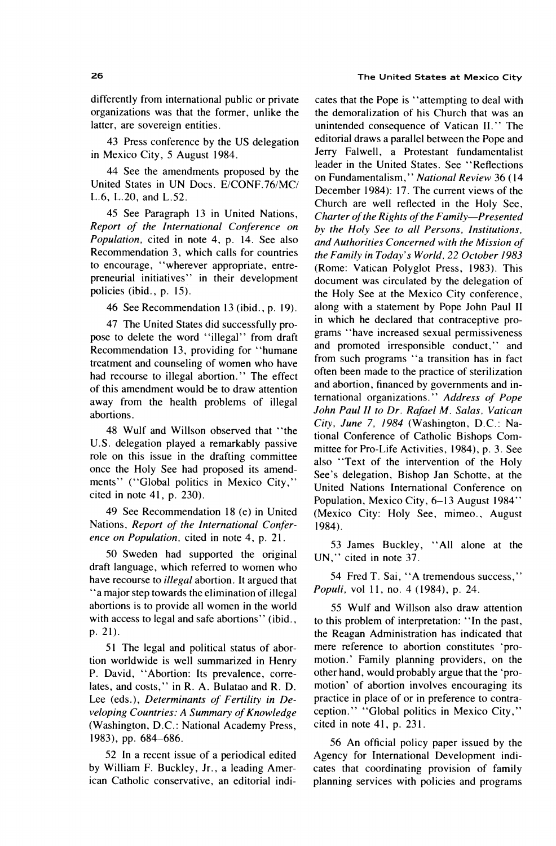### differently from international public or private organizations was that the former, unlike the latter, are sovereign entities.

43 Press conference by the US delegation in Mexico City, 5 August 1984.

44 See the amendments proposed by the United States in UN Docs. E/CONF.76/MC/ L.6, L.20, and L.52.

45 See Paragraph 13 in United Nations, Report of the International Conference on *Population*, cited in note 4, p. 14. See also Recommendation 3, which calls for countries to encourage, "wherever appropriate, entrepreneurial initiatives" in their development policies (ibid., p. 15).

46 See Recommendation 13 (ibid., p. 19).

47 The United States did successfully propose to delete the word "illegal" from draft Recommendation 13, providing for "humane treatment and counseling of women who have had recourse to illegal abortion." The effect of this amendment would be to draw attention away from the health problems of illegal abortions.

48 Wulf and Willson observed that "the U.S. delegation played a remarkably passive role on this issue in the drafting committee once the Holy See had proposed its amendments" ("Global politics in Mexico City," cited in note  $41$ , p. 230).

49 See Recommendation 18 (e) in United Nations, Report of the International Conference on Population, cited in note 4, p. 21.

50 Sweden had supported the original draft language, which referred to women who have recourse to *illegal* abortion. It argued that "a major step towards the elimination of illegal abortions is to provide all women in the world with access to legal and safe abortions" (ibid., p. 21).

51 The legal and political status of abortion worldwide is well summarized in Henry P. David, "Abortion: Its prevalence, correlates, and costs," in R. A. Bulatao and R. D. Lee (eds.), Determinants of Fertility in Developing Countries: A Summary of Knowledge (Washington, D.C.: National Academy Press, 1983), pp. 684-686.

52 In a recent issue of a periodical edited by William F. Buckley, Jr., a leading American Catholic conservative, an editorial indi-

#### The United States at Mexico City

cates that the Pope is "attempting to deal with the demoralization of his Church that was an unintended consequence of Vatican II." The editorial draws a parallel between the Pope and Jerry Falwell, a Protestant fundamentalist leader in the United States. See "Reflections on Fundamentalism," National Review 36 (14 December 1984): 17. The current views of the Church are well reflected in the Holy See, Charter of the Rights of the Family-Presented by the Holy See to all Persons, Institutions, and Authorities Concerned with the Mission of the Family in Today's World, 22 October 1983 (Rome: Vatican Polyglot Press, 1983). This document was circulated by the delegation of the Holy See at the Mexico City conference, along with a statement by Pope John Paul II in which he declared that contraceptive programs "have increased sexual permissiveness and promoted irresponsible conduct," and from such programs "a transition has in fact often been made to the practice of sterilization and abortion, financed by governments and international organizations." Address of Pope John Paul II to Dr. Rafael M. Salas, Vatican City, June 7, 1984 (Washington, D.C.: National Conference of Catholic Bishops Committee for Pro-Life Activities, 1984), p. 3. See also "Text of the intervention of the Holy See's delegation, Bishop Jan Schotte, at the United Nations International Conference on Population, Mexico City, 6-13 August 1984" (Mexico City: Holy See, mimeo., August  $1984.$ 

53 James Buckley, "All alone at the UN," cited in note 37.

54 Fred T. Sai, "A tremendous success," Populi, vol 11, no. 4 (1984), p. 24.

55 Wulf and Willson also draw attention to this problem of interpretation: "In the past, the Reagan Administration has indicated that mere reference to abortion constitutes 'promotion.' Family planning providers, on the other hand, would probably argue that the 'promotion' of abortion involves encouraging its practice in place of or in preference to contraception." "Global politics in Mexico City," cited in note 41, p. 231.

56 An official policy paper issued by the Agency for International Development indicates that coordinating provision of family planning services with policies and programs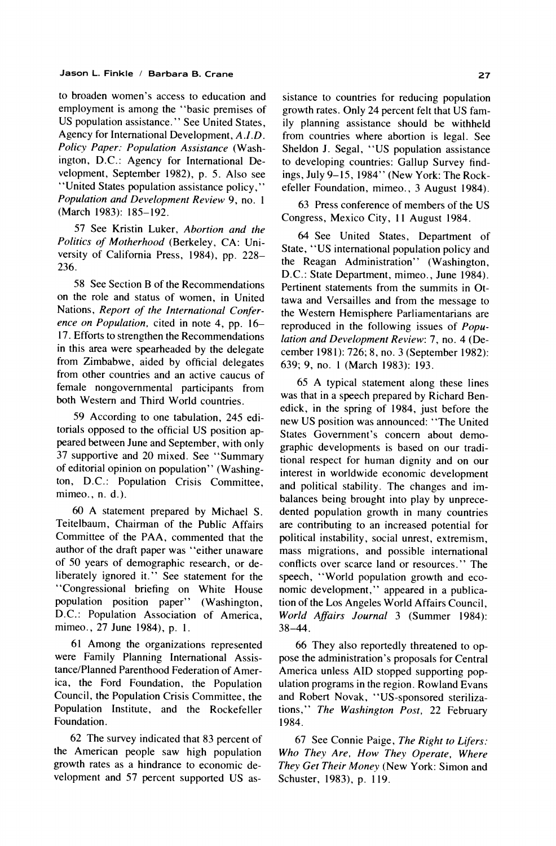to broaden women's access to education and employment is among the "basic premises of US population assistance." See United States, Agency for International Development, A.I.D. Policy Paper: Population Assistance (Washington, D.C.: Agency for International Development, September 1982), p. 5. Also see "United States population assistance policy," Population and Development Review 9, no. 1 (March 1983): 185-192.

57 See Kristin Luker, Abortion and the Politics of Motherhood (Berkeley, CA: University of California Press, 1984), pp. 228-236.

58 See Section B of the Recommendations on the role and status of women, in United Nations, Report of the International Conference on Population, cited in note 4, pp. 16-17. Efforts to strengthen the Recommendations in this area were spearheaded by the delegate from Zimbabwe, aided by official delegates from other countries and an active caucus of female nongovernmental participants from both Western and Third World countries.

59 According to one tabulation, 245 editorials opposed to the official US position appeared between June and September, with only 37 supportive and 20 mixed. See "Summary of editorial opinion on population" (Washington, D.C.: Population Crisis Committee,  $mimeo., n. d.).$ 

60 A statement prepared by Michael S. Teitelbaum, Chairman of the Public Affairs Committee of the PAA, commented that the author of the draft paper was "either unaware of 50 years of demographic research, or deliberately ignored it." See statement for the "Congressional briefing on White House population position paper" (Washington, D.C.: Population Association of America, mimeo., 27 June 1984), p. 1.

61 Among the organizations represented were Family Planning International Assistance/Planned Parenthood Federation of America, the Ford Foundation, the Population Council, the Population Crisis Committee, the Population Institute, and the Rockefeller Foundation.

62 The survey indicated that 83 percent of the American people saw high population growth rates as a hindrance to economic development and 57 percent supported US assistance to countries for reducing population growth rates. Only 24 percent felt that US family planning assistance should be withheld from countries where abortion is legal. See Sheldon J. Segal, "US population assistance to developing countries: Gallup Survey findings, July 9-15, 1984" (New York: The Rockefeller Foundation, mimeo., 3 August 1984).

63 Press conference of members of the US Congress, Mexico City, 11 August 1984.

64 See United States, Department of State, "US international population policy and the Reagan Administration" (Washington, D.C.: State Department, mimeo., June 1984). Pertinent statements from the summits in Ottawa and Versailles and from the message to the Western Hemisphere Parliamentarians are reproduced in the following issues of Population and Development Review: 7, no. 4 (December 1981): 726; 8, no. 3 (September 1982): 639; 9, no. 1 (March 1983): 193.

65 A typical statement along these lines was that in a speech prepared by Richard Benedick, in the spring of 1984, just before the new US position was announced: "The United States Government's concern about demographic developments is based on our traditional respect for human dignity and on our interest in worldwide economic development and political stability. The changes and imbalances being brought into play by unprecedented population growth in many countries are contributing to an increased potential for political instability, social unrest, extremism, mass migrations, and possible international conflicts over scarce land or resources." The speech, "World population growth and economic development," appeared in a publication of the Los Angeles World Affairs Council, World Affairs Journal 3 (Summer 1984):  $38 - 44$ .

66 They also reportedly threatened to oppose the administration's proposals for Central America unless AID stopped supporting population programs in the region. Rowland Evans and Robert Novak, "US-sponsored sterilizations," The Washington Post, 22 February 1984.

67 See Connie Paige, The Right to Lifers: Who They Are, How They Operate, Where They Get Their Money (New York: Simon and Schuster, 1983), p. 119.